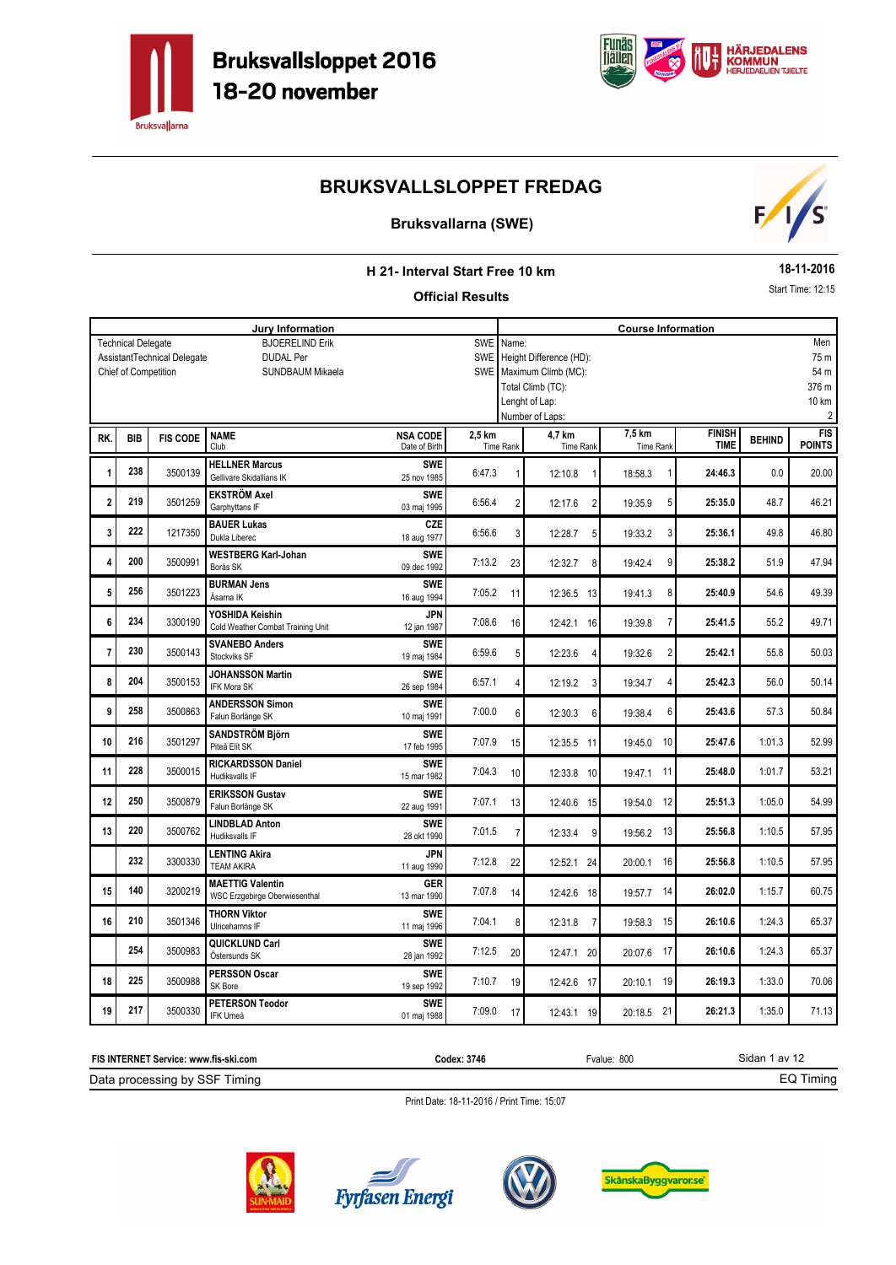



### **Bruksvallarna (SWE)**



#### **H 21- Interval Start Free 10 km**

#### **Official Results**

**18-11-2016**

Start Time: 12:15

|     |                           |                             | <b>Jury Information</b>                                  |                           |            |                  |                           | <b>Course Information</b> |               |               |                |
|-----|---------------------------|-----------------------------|----------------------------------------------------------|---------------------------|------------|------------------|---------------------------|---------------------------|---------------|---------------|----------------|
|     | <b>Technical Delegate</b> |                             | <b>BJOERELIND Erik</b>                                   |                           | <b>SWE</b> | Name:            |                           |                           |               |               | Men            |
|     |                           | AssistantTechnical Delegate | <b>DUDAL Per</b>                                         |                           | SWE        |                  | Height Difference (HD):   |                           |               |               | 75 m           |
|     | Chief of Competition      |                             | <b>SUNDBAUM Mikaela</b>                                  |                           | <b>SWE</b> |                  | Maximum Climb (MC):       |                           |               |               | 54 m           |
|     |                           |                             |                                                          |                           |            |                  | Total Climb (TC):         |                           |               |               | 376 m          |
|     |                           |                             |                                                          |                           |            |                  | Lenght of Lap:            |                           |               |               | 10 km          |
|     |                           |                             |                                                          |                           |            |                  | Number of Laps:           |                           |               |               | $\overline{2}$ |
|     |                           |                             | <b>NAME</b>                                              | <b>NSA CODE</b>           | 2,5 km     |                  | 4,7 km                    | 7,5 km                    | <b>FINISH</b> |               | <b>FIS</b>     |
| RK. | <b>BIB</b>                | <b>FIS CODE</b>             | Club                                                     | Date of Birth             |            | <b>Time Rank</b> | <b>Time Rank</b>          | Time Rank                 | <b>TIME</b>   | <b>BEHIND</b> | <b>POINTS</b>  |
|     |                           |                             | <b>HELLNER Marcus</b>                                    | <b>SWE</b>                |            |                  |                           |                           |               |               |                |
| 1   | 238                       | 3500139                     | Gellivare Skidallians IK                                 | 25 nov 1985               | 6:47.3     | 1                | 12:10.8                   | 18:58.3                   | 24:46.3       | 0.0           | 20.00          |
|     |                           |                             | <b>EKSTRÖM Axel</b>                                      | <b>SWE</b>                |            |                  |                           |                           |               |               |                |
| 2   | 219                       | 3501259                     | Garphyttans IF                                           | 03 maj 1995               | 6:56.4     | $\overline{2}$   | $\overline{2}$<br>12:17.6 | 5<br>19:35.9              | 25:35.0       | 48.7          | 46.21          |
|     |                           |                             | <b>BAUER Lukas</b>                                       | CZE                       |            |                  |                           |                           |               |               |                |
| 3   | 222                       | 1217350                     | Dukla Liberec                                            | 18 aug 1977               | 6:56.6     | 3                | 12:28.7<br>5              | 3<br>19:33.2              | 25:36.1       | 49.8          | 46.80          |
|     | 200                       |                             | <b>WESTBERG Karl-Johan</b>                               | <b>SWE</b>                |            |                  |                           |                           |               |               |                |
| 4   |                           | 3500991                     | Borås SK                                                 | 09 dec 1992               | 7:13.2     | 23               | 12:32.7<br>8              | 9<br>19:42.4              | 25:38.2       | 51.9          | 47.94          |
|     | 256                       | 3501223                     | <b>BURMAN Jens</b>                                       | <b>SWE</b>                |            |                  |                           | 8                         |               |               | 49.39          |
| 5   |                           |                             | Åsarna IK                                                | 16 aug 1994               | 7:05.2     | 11               | 12:36.5 13                | 19:41.3                   | 25:40.9       | 54.6          |                |
| 6   | 234                       | 3300190                     | YOSHIDA Keishin                                          | <b>JPN</b>                | 7:08.6     |                  |                           | $\overline{7}$            | 25:41.5       | 55.2          | 49.71          |
|     |                           |                             | Cold Weather Combat Training Unit                        | 12 jan 1987               |            | 16               | 12:42.1 16                | 19:39.8                   |               |               |                |
| 7   | 230                       | 3500143                     | <b>SVANEBO Anders</b>                                    | <b>SWE</b>                | 6:59.6     | 5                | 12:23.6<br>4              | $\overline{2}$<br>19:32.6 | 25:42.1       | 55.8          | 50.03          |
|     |                           |                             | Stockviks SF                                             | 19 maj 1984               |            |                  |                           |                           |               |               |                |
| 8   | 204                       | 3500153                     | <b>JOHANSSON Martin</b>                                  | <b>SWE</b>                | 6:57.1     | $\overline{4}$   | 12:19.2<br>3              | 19:34.7<br>4              | 25:42.3       | 56.0          | 50.14          |
|     |                           |                             | <b>IFK Mora SK</b>                                       | 26 sep 1984               |            |                  |                           |                           |               |               |                |
| 9   | 258                       | 3500863                     | <b>ANDERSSON Simon</b>                                   | <b>SWE</b>                | 7:00.0     | 6                | 12:30.3<br>6              | 6<br>19:38.4              | 25:43.6       | 57.3          | 50.84          |
|     |                           |                             | Falun Borlänge SK                                        | 10 maj 1991               |            |                  |                           |                           |               |               |                |
| 10  | 216                       | 3501297                     | <b>SANDSTRÖM Björn</b>                                   | <b>SWE</b>                | 7:07.9     | 15               | 12:35.5 11                | 10<br>19:45.0             | 25:47.6       | 1:01.3        | 52.99          |
|     |                           |                             | Piteå Elit SK                                            | 17 feb 1995               |            |                  |                           |                           |               |               |                |
| 11  | 228                       | 3500015                     | <b>RICKARDSSON Daniel</b>                                | <b>SWE</b>                | 7:04.3     | 10               | 12:33.8 10                | 11<br>19:47.1             | 25:48.0       | 1:01.7        | 53.21          |
|     |                           |                             | Hudiksvalls IF                                           | 15 mar 1982               |            |                  |                           |                           |               |               |                |
| 12  | 250                       | 3500879                     | <b>ERIKSSON Gustav</b>                                   | <b>SWE</b>                | 7:07.1     | 13               | 12:40.6 15                | 12<br>19:54.0             | 25:51.3       | 1:05.0        | 54.99          |
|     |                           |                             | Falun Borlänge SK                                        | 22 aug 1991               |            |                  |                           |                           |               |               |                |
| 13  | 220                       | 3500762                     | <b>LINDBLAD Anton</b><br>Hudiksvalls IF                  | <b>SWE</b><br>28 okt 1990 | 7:01.5     | $\overline{7}$   | 12:33.4<br>9              | 13<br>19:56.2             | 25:56.8       | 1:10.5        | 57.95          |
|     |                           |                             |                                                          |                           |            |                  |                           |                           |               |               |                |
|     | 232                       | 3300330                     | <b>LENTING Akira</b><br><b>TEAM AKIRA</b>                | JPN<br>11 aug 1990        | 7:12.8     | 22               | 12:52.1 24                | 16<br>20:00.1             | 25:56.8       | 1:10.5        | 57.95          |
|     |                           |                             |                                                          |                           |            |                  |                           |                           |               |               |                |
| 15  | 140                       | 3200219                     | <b>MAETTIG Valentin</b><br>WSC Erzgebirge Oberwiesenthal | GER<br>13 mar 1990        | 7:07.8     | 14               | 12:42.6 18                | 14<br>19:57.7             | 26:02.0       | 1:15.7        | 60.75          |
|     |                           |                             |                                                          |                           |            |                  |                           |                           |               |               |                |
| 16  | 210                       | 3501346                     | <b>THORN Viktor</b><br>Ulricehamns IF                    | <b>SWF</b><br>11 maj 1996 | 7:04.1     | 8                | 12:31.8<br>$\overline{7}$ | 15<br>19:58.3             | 26:10.6       | 1:24.3        | 65.37          |
|     |                           |                             | QUICKLUND Carl                                           | <b>SWE</b>                |            |                  |                           |                           |               |               |                |
|     | 254                       | 3500983                     | Östersunds SK                                            | 28 jan 1992               | 7:12.5     | 20               | 12:47.1 20                | 17<br>20:07.6             | 26:10.6       | 1:24.3        | 65.37          |
|     |                           |                             | <b>PERSSON Oscar</b>                                     | <b>SWF</b>                |            |                  |                           |                           |               |               |                |
| 18  | 225                       | 3500988                     | SK Bore                                                  | 19 sep 1992               | 7:10.7     | 19               | 12:42.6 17                | 19<br>20:10.1             | 26:19.3       | 1:33.0        | 70.06          |
|     |                           |                             | <b>PETERSON Teodor</b>                                   | <b>SWE</b>                |            |                  |                           |                           |               |               |                |
| 19  | 217                       | 3500330                     | IFK Umeå                                                 | 01 maj 1988               | 7:09.0     | 17               | 12:43.1 19                | 20:18.5 21                | 26:21.3       | 1:35.0        | 71.13          |









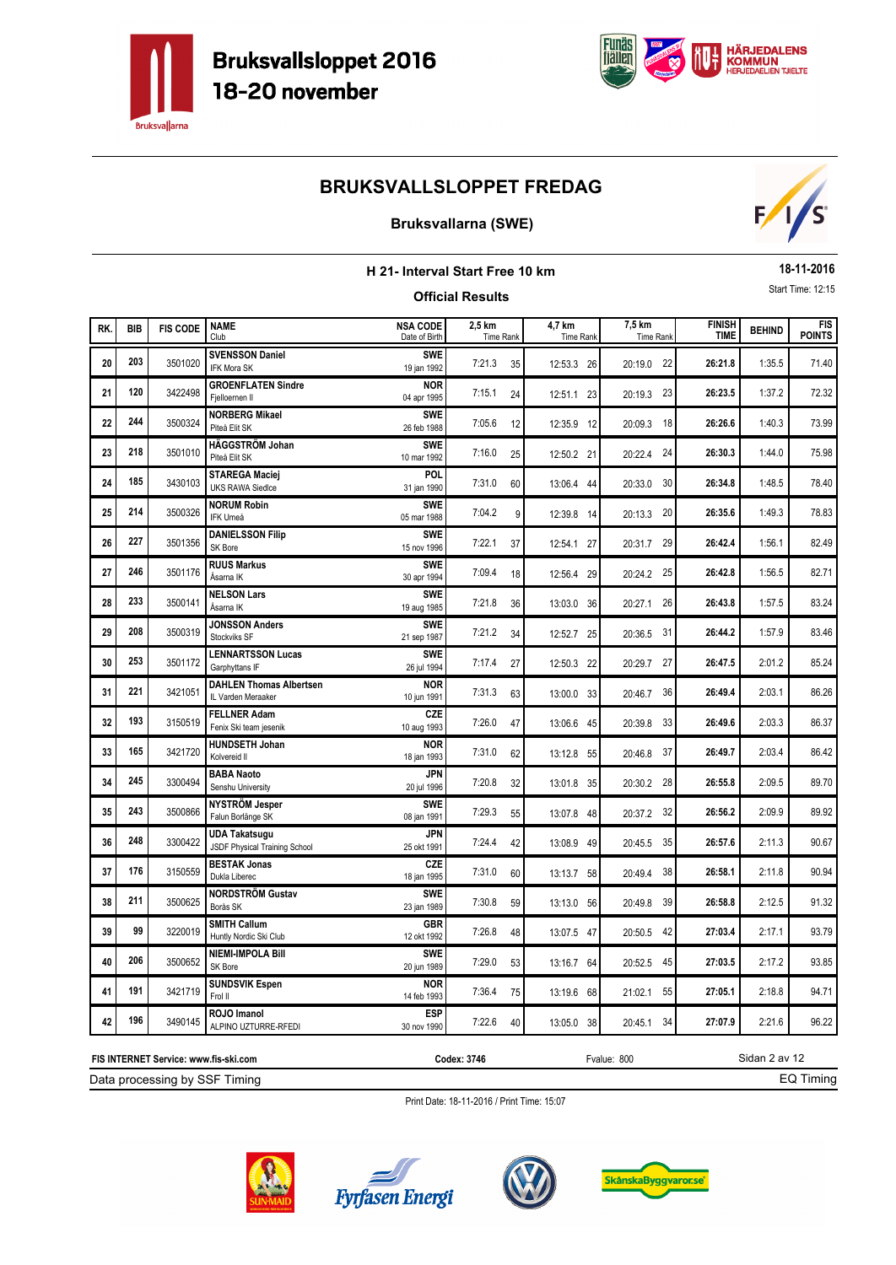



### **Bruksvallarna (SWE)**



| H 21- Interval Start Free 10 km |            |                 |                                                       |                                  |                         |                     |                     |                              |               | 18-11-2016                  |
|---------------------------------|------------|-----------------|-------------------------------------------------------|----------------------------------|-------------------------|---------------------|---------------------|------------------------------|---------------|-----------------------------|
|                                 |            |                 |                                                       |                                  | <b>Official Results</b> |                     |                     |                              |               | Start Time: 12:15           |
| RK.                             | <b>BIB</b> | <b>FIS CODE</b> | <b>NAME</b><br>Club                                   | <b>NSA CODE</b><br>Date of Birth | 2,5 km<br>Time Rank     | 4,7 km<br>Time Rank | 7,5 km<br>Time Rank | <b>FINISH</b><br><b>TIME</b> | <b>BEHIND</b> | <b>FIS</b><br><b>POINTS</b> |
| 20                              | 203        | 3501020         | <b>SVENSSON Daniel</b><br>IFK Mora SK                 | <b>SWE</b><br>19 jan 1992        | 7:21.3<br>35            | 12:53.3 26          | 20:19.0 22          | 26:21.8                      | 1:35.5        | 71.40                       |
| 21                              | 120        | 3422498         | <b>GROENFLATEN Sindre</b><br>Fjelloernen II           | <b>NOR</b><br>04 apr 1995        | 7:15.1<br>24            | 12:51.1 23          | 20:19.3 23          | 26:23.5                      | 1:37.2        | 72.32                       |
| 22                              | 244        | 3500324         | <b>NORBERG Mikael</b><br>Piteå Elit SK                | <b>SWE</b><br>26 feb 1988        | 7:05.6<br>12            | 12:35.9 12          | 20:09.3 18          | 26:26.6                      | 1:40.3        | 73.99                       |
| 23                              | 218        | 3501010         | HÄGGSTRÖM Johan<br>Piteå Elit SK                      | <b>SWE</b><br>10 mar 1992        | 7:16.0<br>25            | 12:50.2 21          | -24<br>20:22.4      | 26:30.3                      | 1:44.0        | 75.98                       |
| 24                              | 185        | 3430103         | <b>STAREGA Maciej</b><br><b>UKS RAWA Siedlce</b>      | POL<br>31 jan 1990               | 7:31.0<br>60            | 13:06.4 44          | 20:33.0 30          | 26:34.8                      | 1:48.5        | 78.40                       |
| 25                              | 214        | 3500326         | <b>NORUM Robin</b><br>IFK Umeå                        | <b>SWE</b><br>05 mar 1988        | 7:04.2<br>9             | 12:39.8 14          | 20:13.3 20          | 26:35.6                      | 1:49.3        | 78.83                       |
| 26                              | 227        | 3501356         | <b>DANIELSSON Filip</b><br>SK Bore                    | <b>SWF</b><br>15 nov 1996        | 7:22.1<br>37            | 12:54.1 27          | 29<br>20:31.7       | 26:42.4                      | 1:56.1        | 82.49                       |
| 27                              | 246        | 3501176         | <b>RUUS Markus</b><br>Åsarna IK                       | <b>SWE</b><br>30 apr 1994        | 7:09.4<br>18            | 12:56.4 29          | 20:24.2 25          | 26:42.8                      | 1:56.5        | 82.71                       |
| 28                              | 233        | 3500141         | <b>NELSON Lars</b><br>Åsarna IK                       | <b>SWE</b><br>19 aug 1985        | 7:21.8<br>36            | 13:03.0 36          | 26<br>20:27.1       | 26:43.8                      | 1:57.5        | 83.24                       |
| 29                              | 208        | 3500319         | <b>JONSSON Anders</b><br>Stockviks SF                 | <b>SWE</b><br>21 sep 1987        | 7:21.2<br>34            | 12:52.7 25          | 20:36.5 31          | 26:44.2                      | 1:57.9        | 83.46                       |
| 30                              | 253        | 3501172         | <b>LENNARTSSON Lucas</b><br>Garphyttans IF            | <b>SWE</b><br>26 jul 1994        | 7:17.4<br>27            | 12:50.3 22          | 20:29.7 27          | 26:47.5                      | 2:01.2        | 85.24                       |
| 31                              | 221        | 3421051         | <b>DAHLEN Thomas Albertsen</b><br>IL Varden Meraaker  | <b>NOR</b><br>10 jun 1991        | 7:31.3<br>63            | 13:00.0 33          | 36<br>20:46.7       | 26:49.4                      | 2:03.1        | 86.26                       |
| 32                              | 193        | 3150519         | <b>FELLNER Adam</b><br>Fenix Ski team jesenik         | CZE<br>10 aug 1993               | 7:26.0<br>47            | 13:06.6 45          | 20:39.8 33          | 26:49.6                      | 2:03.3        | 86.37                       |
| 33                              | 165        | 3421720         | <b>HUNDSETH Johan</b><br>Kolvereid II                 | <b>NOR</b><br>18 jan 1993        | 7:31.0<br>62            | 13:12.8 55          | - 37<br>20:46.8     | 26:49.7                      | 2:03.4        | 86.42                       |
| 34                              | 245        | 3300494         | <b>BABA Naoto</b><br>Senshu University                | <b>JPN</b><br>20 jul 1996        | 7:20.8<br>32            | 13:01.8 35          | 20:30.2 28          | 26:55.8                      | 2:09.5        | 89.70                       |
| 35                              | 243        | 3500866         | NYSTRÖM Jesper<br>Falun Borlänge SK                   | <b>SWE</b><br>08 jan 1991        | 7:29.3<br>55            | 13:07.8 48          | 20:37.2 32          | 26:56.2                      | 2:09.9        | 89.92                       |
| 36                              | 248        | 3300422         | <b>UDA Takatsugu</b><br>JSDF Physical Training School | JPN<br>25 okt 1991               | 7:24.4<br>42            | 13:08.9 49          | 35<br>20:45.5       | 26:57.6                      | 2:11.3        | 90.67                       |
| 37                              | 176        | 3150559         | <b>BESTAK Jonas</b><br>Dukla Liberec                  | CZE<br>18 jan 1995               | 7:31.0<br>60            | 13:13.7 58          | 20:49.4<br>38       | 26:58.1                      | 2:11.8        | 90.94                       |
| 38                              | 211        | 3500625         | <b>NORDSTRÖM Gustav</b><br>Borås SK                   | <b>SWE</b><br>23 jan 1989        | 7:30.8<br>59            | 13:13.0 56          | 20:49.8 39          | 26:58.8                      | 2:12.5        | 91.32                       |
| 39                              | 99         | 3220019         | <b>SMITH Callum</b><br>Huntly Nordic Ski Club         | GBR<br>12 okt 1992               | 7:26.8<br>48            | 13:07.5 47          | 42<br>20:50.5       | 27:03.4                      | 2:17.1        | 93.79                       |
| 40                              | 206        | 3500652         | <b>NIEMI-IMPOLA Bill</b><br>SK Bore                   | <b>SWE</b><br>20 jun 1989        | 7:29.0<br>53            | 13:16.7 64          | 45<br>20:52.5       | 27:03.5                      | 2:17.2        | 93.85                       |
| 41                              | 191        | 3421719         | <b>SUNDSVIK Espen</b><br>Frol II                      | <b>NOR</b><br>14 feb 1993        | 7:36.4<br>75            | 13:19.6 68          | 21:02.1<br>55       | 27:05.1                      | 2:18.8        | 94.71                       |
| 42                              | 196        | 3490145         | ROJO Imanol<br>ALPINO UZTURRE-RFEDI                   | <b>ESP</b><br>30 nov 1990        | 7:22.6<br>40            | 13:05.0 38          | 34<br>20:45.1       | 27:07.9                      | 2:21.6        | 96.22                       |

Print Date: 18-11-2016 / Print Time: 15:07



Data processing by SSF Timing **FIS INTERNET Service: www.fis-ski.com**





**Codex: 3746** Fvalue: 800



Sidan 2 av 12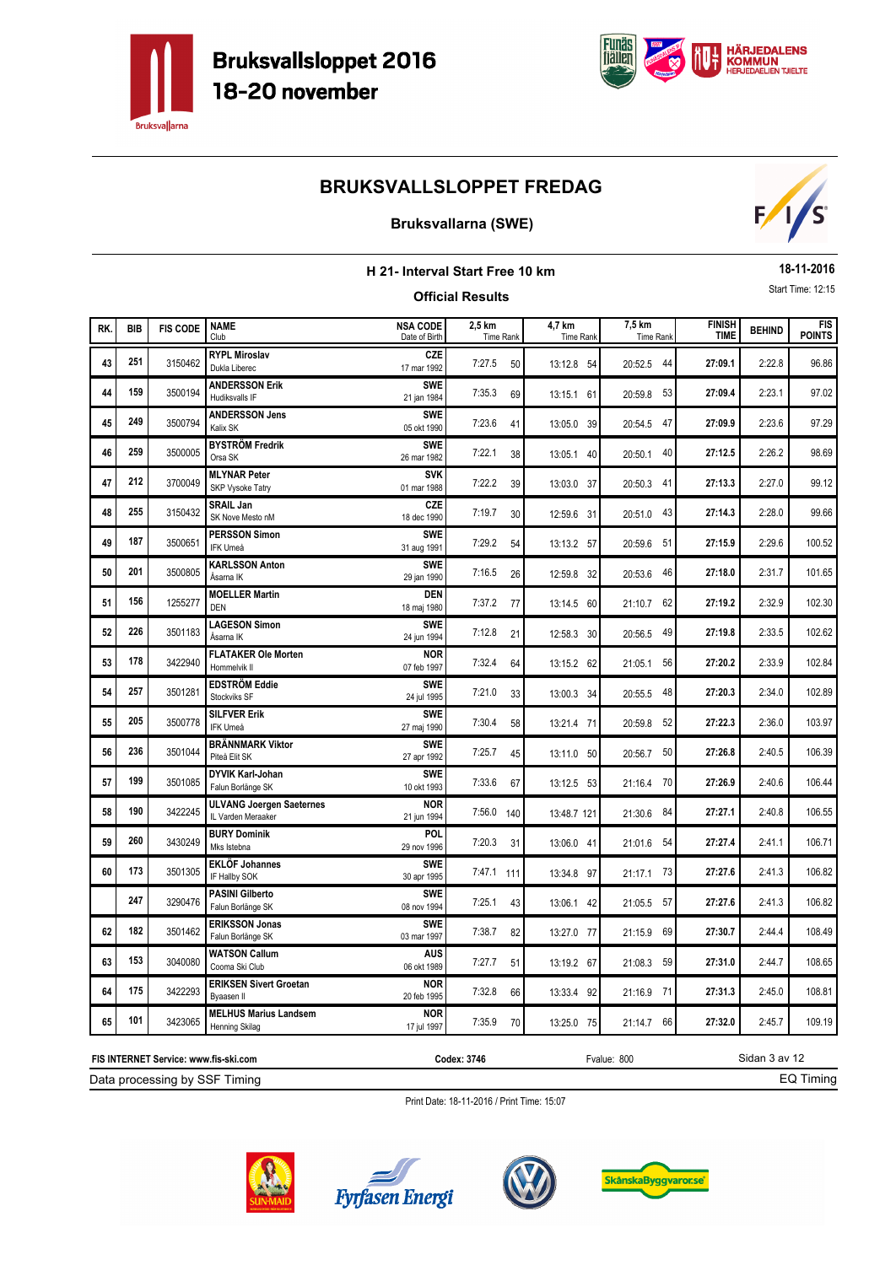



### **Bruksvallarna (SWE)**



| H 21- Interval Start Free 10 km |            |                 |                                                       |                                  |                            |                            |                     |                              | 18-11-2016    |                             |
|---------------------------------|------------|-----------------|-------------------------------------------------------|----------------------------------|----------------------------|----------------------------|---------------------|------------------------------|---------------|-----------------------------|
|                                 |            |                 |                                                       |                                  | <b>Official Results</b>    |                            |                     |                              |               | Start Time: 12:15           |
| RK.                             | <b>BIB</b> | <b>FIS CODE</b> | <b>NAME</b><br>Club                                   | <b>NSA CODE</b><br>Date of Birth | 2.5 km<br><b>Time Rank</b> | 4,7 km<br><b>Time Rank</b> | 7,5 km<br>Time Rank | <b>FINISH</b><br><b>TIME</b> | <b>BEHIND</b> | <b>FIS</b><br><b>POINTS</b> |
| 43                              | 251        | 3150462         | <b>RYPL Miroslav</b><br>Dukla Liberec                 | CZE<br>17 mar 1992               | 7:27.5<br>50               | 13:12.8 54                 | 20:52.5 44          | 27:09.1                      | 2:22.8        | 96.86                       |
| 44                              | 159        | 3500194         | <b>ANDERSSON Erik</b><br>Hudiksvalls IF               | <b>SWE</b><br>21 jan 1984        | 7:35.3<br>69               | 13:15.1 61                 | 20:59.8 53          | 27:09.4                      | 2:23.1        | 97.02                       |
| 45                              | 249        | 3500794         | <b>ANDERSSON Jens</b><br>Kalix SK                     | <b>SWE</b><br>05 okt 1990        | 7:23.6<br>41               | 13:05.0 39                 | 20:54.5 47          | 27:09.9                      | 2:23.6        | 97.29                       |
| 46                              | 259        | 3500005         | <b>BYSTRÖM Fredrik</b><br>Orsa SK                     | <b>SWE</b><br>26 mar 1982        | 7:22.1<br>38               | 13:05.1 40                 | 40<br>20:50.1       | 27:12.5                      | 2:26.2        | 98.69                       |
| 47                              | 212        | 3700049         | <b>MLYNAR Peter</b><br>SKP Vysoke Tatry               | <b>SVK</b><br>01 mar 1988        | 7:22.2<br>39               | 13:03.0 37                 | 20:50.3 41          | 27:13.3                      | 2:27.0        | 99.12                       |
| 48                              | 255        | 3150432         | <b>SRAIL Jan</b><br>SK Nove Mesto nM                  | CZE<br>18 dec 1990               | 7:19.7<br>30               | 12:59.6 31                 | - 43<br>20:51.0     | 27:14.3                      | 2:28.0        | 99.66                       |
| 49                              | 187        | 3500651         | <b>PERSSON Simon</b><br>IFK Umeå                      | <b>SWE</b><br>31 aug 1991        | 7:29.2<br>54               | 13:13.2 57                 | 20:59.6 51          | 27:15.9                      | 2:29.6        | 100.52                      |
| 50                              | 201        | 3500805         | <b>KARLSSON Anton</b><br>Åsarna IK                    | <b>SWE</b><br>29 jan 1990        | 7:16.5<br>26               | 12:59.8 32                 | 20:53.6 46          | 27:18.0                      | 2:31.7        | 101.65                      |
| 51                              | 156        | 1255277         | <b>MOELLER Martin</b><br><b>DEN</b>                   | <b>DEN</b><br>18 maj 1980        | 7:37.2<br>77               | 13:14.5 60                 | 21:10.7 62          | 27:19.2                      | 2:32.9        | 102.30                      |
| 52                              | 226        | 3501183         | <b>LAGESON Simon</b><br>Åsarna IK                     | <b>SWE</b><br>24 jun 1994        | 7:12.8<br>21               | 12:58.3 30                 | 20:56.5 49          | 27:19.8                      | 2:33.5        | 102.62                      |
| 53                              | 178        | 3422940         | <b>FLATAKER Ole Morten</b><br>Hommelvik II            | <b>NOR</b><br>07 feb 1997        | 7:32.4<br>64               | 13:15.2 62                 | 21:05.1 56          | 27:20.2                      | 2:33.9        | 102.84                      |
| 54                              | 257        | 3501281         | <b>EDSTRÖM Eddie</b><br>Stockviks SF                  | <b>SWE</b><br>24 jul 1995        | 7:21.0<br>33               | 13:00.3 34                 | 20:55.5 48          | 27:20.3                      | 2:34.0        | 102.89                      |
| 55                              | 205        | 3500778         | <b>SILFVER Erik</b><br>IFK Umeå                       | <b>SWE</b><br>27 maj 1990        | 7:30.4<br>58               | 13:21.4 71                 | - 52<br>20:59.8     | 27:22.3                      | 2:36.0        | 103.97                      |
| 56                              | 236        | 3501044         | <b>BRÄNNMARK Viktor</b><br>Piteå Elit SK              | <b>SWE</b><br>27 apr 1992        | 7:25.7<br>45               | 13:11.0 50                 | 50<br>20:56.7       | 27:26.8                      | 2:40.5        | 106.39                      |
| 57                              | 199        | 3501085         | DYVIK Karl-Johan<br>Falun Borlänge SK                 | <b>SWE</b><br>10 okt 1993        | 7:33.6<br>67               | 13:12.5 53                 | 21:16.4 70          | 27:26.9                      | 2:40.6        | 106.44                      |
| 58                              | 190        | 3422245         | <b>ULVANG Joergen Saeternes</b><br>IL Varden Meraaker | <b>NOR</b><br>21 jun 1994        | 7:56.0<br>140              | 13:48.7 121                | 21:30.6 84          | 27:27.1                      | 2:40.8        | 106.55                      |
| 59                              | 260        | 3430249         | <b>BURY Dominik</b><br>Mks Istebna                    | <b>POL</b><br>29 nov 1996        | 7:20.3<br>31               | 13:06.0 41                 | 21:01.6 54          | 27:27.4                      | 2:41.1        | 106.71                      |
| 60                              | 173        | 3501305         | <b>EKLÖF Johannes</b><br>IF Hallby SOK                | <b>SWF</b><br>30 apr 1995        | 7:47.1 111                 | 13:34.8 97                 | 21:17.1 73          | 27:27.6                      | 2:41.3        | 106.82                      |
|                                 | 247        | 3290476         | <b>PASINI Gilberto</b><br>Falun Borlänge SK           | <b>SWE</b><br>08 nov 1994        | 7:25.1<br>43               | 13:06.1 42                 | 21:05.5 57          | 27:27.6                      | 2:41.3        | 106.82                      |
| 62                              | 182        | 3501462         | <b>ERIKSSON Jonas</b><br>Falun Borlänge SK            | <b>SWE</b><br>03 mar 1997        | 7:38.7<br>82               | 13:27.0 77                 | 21:15.9 69          | 27:30.7                      | 2:44.4        | 108.49                      |
| 63                              | 153        | 3040080         | <b>WATSON Callum</b><br>Cooma Ski Club                | <b>AUS</b><br>06 okt 1989        | 7:27.7<br>51               | 13:19.2 67                 | 21:08.3 59          | 27:31.0                      | 2:44.7        | 108.65                      |
| 64                              | 175        | 3422293         | <b>ERIKSEN Sivert Groetan</b><br>Byaasen II           | <b>NOR</b><br>20 feb 1995        | 7:32.8<br>66               | 13:33.4 92                 | 21:16.9 71          | 27:31.3                      | 2:45.0        | 108.81                      |
| 65                              | 101        | 3423065         | <b>MELHUS Marius Landsem</b><br>Henning Skilag        | <b>NOR</b><br>17 jul 1997        | 7:35.9<br>70               | 13:25.0 75                 | 21:14.7 66          | 27:32.0                      | 2:45.7        | 109.19                      |

Print Date: 18-11-2016 / Print Time: 15:07



Data processing by SSF Timing **FIS INTERNET Service: www.fis-ski.com**





**Codex: 3746** Fvalue: 800



Sidan 3 av 12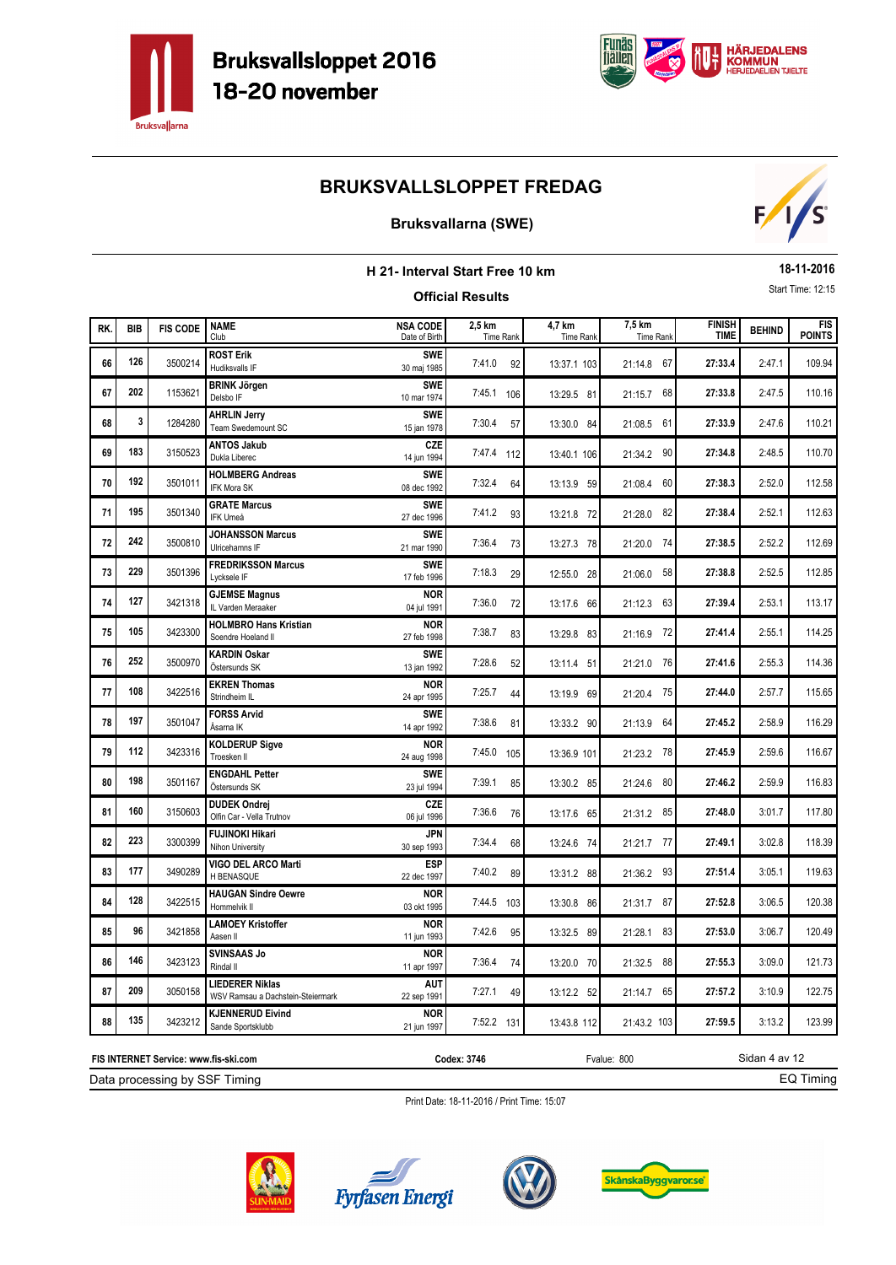



### **Bruksvallarna (SWE)**



|     | 18-11-2016<br>H 21- Interval Start Free 10 km<br>Start Time: 12:15 |                 |                                                             |                                  |                         |                     |                            |                              |               |                             |
|-----|--------------------------------------------------------------------|-----------------|-------------------------------------------------------------|----------------------------------|-------------------------|---------------------|----------------------------|------------------------------|---------------|-----------------------------|
|     |                                                                    |                 |                                                             |                                  | <b>Official Results</b> |                     |                            |                              |               |                             |
| RK. | <b>BIB</b>                                                         | <b>FIS CODE</b> | <b>NAME</b><br>Club                                         | <b>NSA CODE</b><br>Date of Birth | 2,5 km<br>Time Rank     | 4,7 km<br>Time Rank | 7,5 km<br><b>Time Rank</b> | <b>FINISH</b><br><b>TIME</b> | <b>BEHIND</b> | <b>FIS</b><br><b>POINTS</b> |
| 66  | 126                                                                | 3500214         | <b>ROST Erik</b><br>Hudiksvalls IF                          | <b>SWE</b><br>30 maj 1985        | 7:41.0<br>92            | 13:37.1 103         | 21:14.8 67                 | 27:33.4                      | 2:47.1        | 109.94                      |
| 67  | 202                                                                | 1153621         | <b>BRINK Jörgen</b><br>Delsbo IF                            | <b>SWE</b><br>10 mar 1974        | 7:45.1<br>106           | 13:29.5 81          | 21:15.7 68                 | 27:33.8                      | 2:47.5        | 110.16                      |
| 68  | 3                                                                  | 1284280         | <b>AHRLIN Jerry</b><br>Team Swedemount SC                   | <b>SWE</b><br>15 jan 1978        | 7:30.4<br>57            | 13:30.0 84          | 21:08.5 61                 | 27:33.9                      | 2:47.6        | 110.21                      |
| 69  | 183                                                                | 3150523         | <b>ANTOS Jakub</b><br>Dukla Liberec                         | CZE<br>14 jun 1994               | 7:47.4 112              | 13:40.1 106         | 21:34.2 90                 | 27:34.8                      | 2:48.5        | 110.70                      |
| 70  | 192                                                                | 3501011         | <b>HOLMBERG Andreas</b><br><b>IFK Mora SK</b>               | <b>SWE</b><br>08 dec 1992        | 7:32.4<br>64            | 13:13.9 59          | 60<br>21:08.4              | 27:38.3                      | 2:52.0        | 112.58                      |
| 71  | 195                                                                | 3501340         | <b>GRATE Marcus</b><br><b>IFK Umeå</b>                      | <b>SWE</b><br>27 dec 1996        | 7:41.2<br>93            | 13:21.8 72          | 21:28.0 82                 | 27:38.4                      | 2:52.1        | 112.63                      |
| 72  | 242                                                                | 3500810         | <b>JOHANSSON Marcus</b><br>Ulricehamns IF                   | <b>SWE</b><br>21 mar 1990        | 7:36.4<br>73            | 13:27.3 78          | 21:20.0 74                 | 27:38.5                      | 2:52.2        | 112.69                      |
| 73  | 229                                                                | 3501396         | <b>FREDRIKSSON Marcus</b><br>Lycksele IF                    | <b>SWE</b><br>17 feb 1996        | 7:18.3<br>29            | 12:55.0 28          | 21:06.0<br>58              | 27:38.8                      | 2:52.5        | 112.85                      |
| 74  | 127                                                                | 3421318         | <b>GJEMSE Magnus</b><br>IL Varden Meraaker                  | <b>NOR</b><br>04 jul 1991        | 7:36.0<br>72            | 13:17.6 66          | 21:12.3 63                 | 27:39.4                      | 2:53.1        | 113.17                      |
| 75  | 105                                                                | 3423300         | <b>HOLMBRO Hans Kristian</b><br>Soendre Hoeland II          | <b>NOR</b><br>27 feb 1998        | 7:38.7<br>83            | 13:29.8 83          | 21:16.9 72                 | 27:41.4                      | 2:55.1        | 114.25                      |
| 76  | 252                                                                | 3500970         | <b>KARDIN Oskar</b><br>Östersunds SK                        | <b>SWE</b><br>13 jan 1992        | 7:28.6<br>52            | 13:11.4 51          | 21:21.0 76                 | 27:41.6                      | 2:55.3        | 114.36                      |
| 77  | 108                                                                | 3422516         | <b>EKREN Thomas</b><br>Strindheim IL                        | <b>NOR</b><br>24 apr 1995        | 7:25.7<br>44            | 13:19.9 69          | 21:20.4 75                 | 27:44.0                      | 2:57.7        | 115.65                      |
| 78  | 197                                                                | 3501047         | <b>FORSS Arvid</b><br>Åsarna IK                             | <b>SWE</b><br>14 apr 1992        | 7:38.6<br>81            | 13:33.2 90          | 21:13.9 64                 | 27:45.2                      | 2:58.9        | 116.29                      |
| 79  | 112                                                                | 3423316         | <b>KOLDERUP Sigve</b><br>Troesken II                        | <b>NOR</b><br>24 aug 1998        | 7:45.0<br>105           | 13:36.9 101         | 21:23.2 78                 | 27:45.9                      | 2:59.6        | 116.67                      |
| 80  | 198                                                                | 3501167         | <b>ENGDAHL Petter</b><br>Östersunds SK                      | <b>SWE</b><br>23 jul 1994        | 7:39.1<br>85            | 13:30.2 85          | 21:24.6<br>- 80            | 27:46.2                      | 2:59.9        | 116.83                      |
| 81  | 160                                                                | 3150603         | <b>DUDEK Ondrej</b><br>Olfin Car - Vella Trutnov            | CZE<br>06 jul 1996               | 7:36.6<br>76            | 13:17.6 65          | 21:31.2 85                 | 27:48.0                      | 3:01.7        | 117.80                      |
| 82  | 223                                                                | 3300399         | <b>FUJINOKI Hikari</b><br>Nihon University                  | JPN<br>30 sep 1993               | 7:34.4<br>68            | 13:24.6 74          | 21:21.7 77                 | 27:49.1                      | 3:02.8        | 118.39                      |
| 83  | 177                                                                | 3490289         | VIGO DEL ARCO Marti<br>H BENASQUE                           | <b>ESP</b><br>22 dec 1997        | 7:40.2<br>89            | 13:31.2 88          | 21:36.2 93                 | 27:51.4                      | 3:05.1        | 119.63                      |
| 84  | 128                                                                | 3422515         | <b>HAUGAN Sindre Oewre</b><br>Hommelvik II                  | <b>NOR</b><br>03 okt 1995        | 7:44.5 103              | 13:30.8 86          | 21:31.7 87                 | 27:52.8                      | 3:06.5        | 120.38                      |
| 85  | 96                                                                 | 3421858         | <b>LAMOEY Kristoffer</b><br>Aasen II                        | <b>NOR</b><br>11 jun 1993        | 7:42.6<br>95            | 13:32.5 89          | 21:28.1 83                 | 27:53.0                      | 3:06.7        | 120.49                      |
| 86  | 146                                                                | 3423123         | <b>SVINSAAS Jo</b><br>Rindal II                             | <b>NOR</b><br>11 apr 1997        | 7:36.4<br>74            | 13:20.0 70          | 21:32.5 88                 | 27:55.3                      | 3:09.0        | 121.73                      |
| 87  | 209                                                                | 3050158         | <b>LIEDERER Niklas</b><br>WSV Ramsau a Dachstein-Steiermark | <b>AUT</b><br>22 sep 1991        | 7:27.1<br>49            | 13:12.2 52          | 21:14.7 65                 | 27:57.2                      | 3:10.9        | 122.75                      |
| 88  | 135                                                                | 3423212         | <b>KJENNERUD Eivind</b><br>Sande Sportsklubb                | <b>NOR</b><br>21 jun 1997        | 7:52.2 131              | 13:43.8 112         | 21:43.2 103                | 27:59.5                      | 3:13.2        | 123.99                      |

Print Date: 18-11-2016 / Print Time: 15:07



Data processing by SSF Timing **FIS INTERNET Service: www.fis-ski.com**





**Codex: 3746** Fvalue: 800



Sidan 4 av 12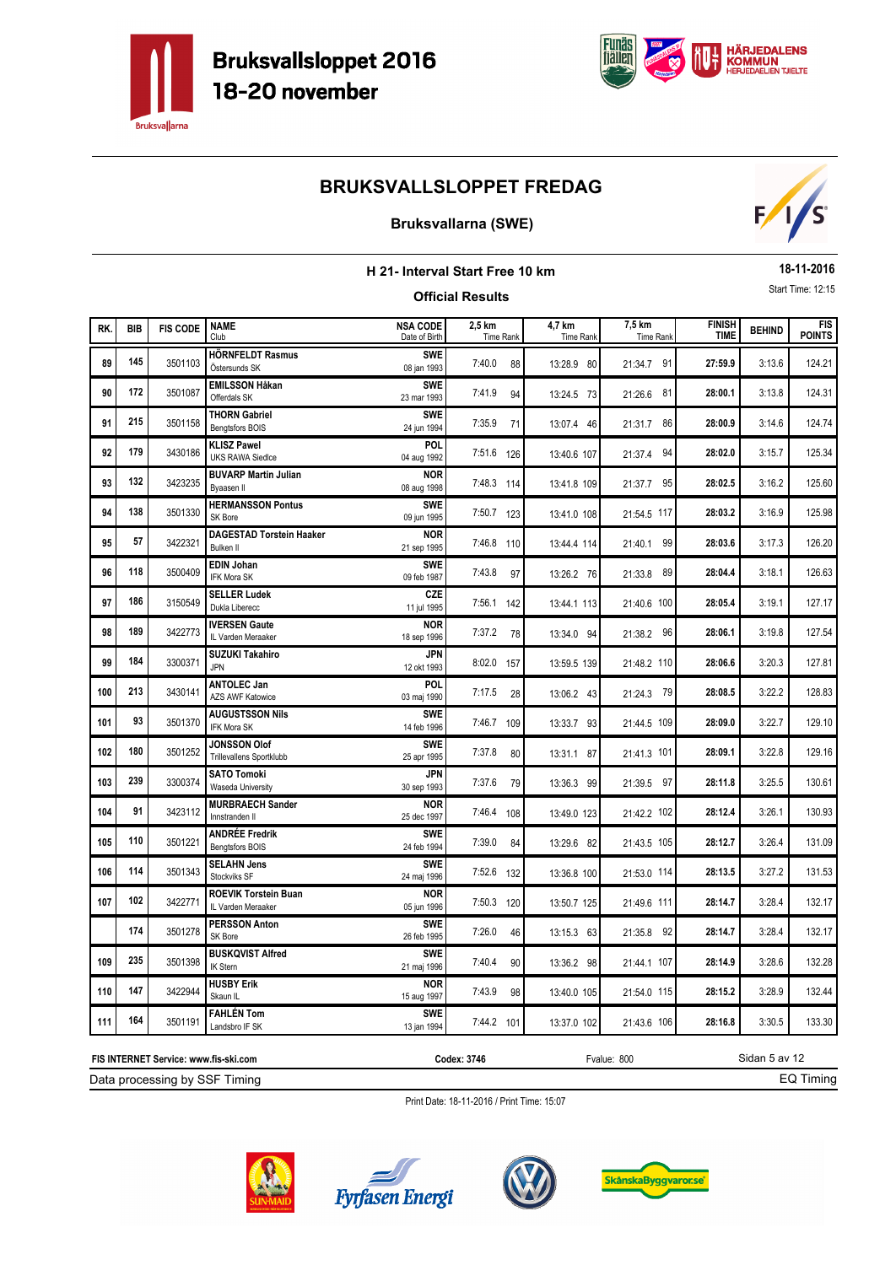



### **Bruksvallarna (SWE)**



|     |            |                 |                                                   | H 21- Interval Start Free 10 km  |                            |                            |                     |                              |               | 18-11-2016                  |
|-----|------------|-----------------|---------------------------------------------------|----------------------------------|----------------------------|----------------------------|---------------------|------------------------------|---------------|-----------------------------|
|     |            |                 |                                                   |                                  | <b>Official Results</b>    |                            |                     |                              |               | Start Time: 12:15           |
| RK. | <b>BIB</b> | <b>FIS CODE</b> | <b>NAME</b><br>Club                               | <b>NSA CODE</b><br>Date of Birth | 2,5 km<br><b>Time Rank</b> | 4,7 km<br><b>Time Rank</b> | 7,5 km<br>Time Rank | <b>FINISH</b><br><b>TIME</b> | <b>BEHIND</b> | <b>FIS</b><br><b>POINTS</b> |
| 89  | 145        | 3501103         | <b>HÖRNFELDT Rasmus</b><br>Östersunds SK          | <b>SWE</b><br>08 jan 1993        | 7:40.0<br>88               | 13:28.9 80                 | 21:34.7 91          | 27:59.9                      | 3:13.6        | 124.21                      |
| 90  | 172        | 3501087         | <b>EMILSSON Håkan</b><br>Offerdals SK             | <b>SWE</b><br>23 mar 1993        | 7:41.9<br>94               | 13:24.5 73                 | 21:26.6 81          | 28:00.1                      | 3:13.8        | 124.31                      |
| 91  | 215        | 3501158         | <b>THORN Gabriel</b><br>Bengtsfors BOIS           | <b>SWE</b><br>24 jun 1994        | 7:35.9<br>71               | 13:07.4 46                 | 21:31.7 86          | 28:00.9                      | 3:14.6        | 124.74                      |
| 92  | 179        | 3430186         | <b>KLISZ Pawel</b><br><b>UKS RAWA Siedlce</b>     | POL<br>04 aug 1992               | 7:51.6 126                 | 13:40.6 107                | 21:37.4 94          | 28:02.0                      | 3:15.7        | 125.34                      |
| 93  | 132        | 3423235         | <b>BUVARP Martin Julian</b><br>Byaasen II         | <b>NOR</b><br>08 aug 1998        | 7:48.3 114                 | 13:41.8 109                | 21:37.7 95          | 28:02.5                      | 3:16.2        | 125.60                      |
| 94  | 138        | 3501330         | <b>HERMANSSON Pontus</b><br>SK Bore               | <b>SWE</b><br>09 jun 1995        | 7:50.7 123                 | 13:41.0 108                | 21:54.5 117         | 28:03.2                      | 3:16.9        | 125.98                      |
| 95  | 57         | 3422321         | <b>DAGESTAD Torstein Haaker</b><br>Bulken II      | <b>NOR</b><br>21 sep 1995        | 7:46.8 110                 | 13:44.4 114                | 21:40.1 99          | 28:03.6                      | 3:17.3        | 126.20                      |
| 96  | 118        | 3500409         | <b>EDIN Johan</b><br>IFK Mora SK                  | <b>SWE</b><br>09 feb 1987        | 7:43.8<br>97               | 13:26.2 76                 | 21:33.8 89          | 28:04.4                      | 3:18.1        | 126.63                      |
| 97  | 186        | 3150549         | <b>SELLER Ludek</b><br>Dukla Liberecc             | <b>CZE</b><br>11 jul 1995        | 7:56.1 142                 | 13:44.1 113                | 21:40.6 100         | 28:05.4                      | 3:19.1        | 127.17                      |
| 98  | 189        | 3422773         | <b>IVERSEN Gaute</b><br>IL Varden Meraaker        | <b>NOR</b><br>18 sep 1996        | 7:37.2 78                  | 13:34.0 94                 | 21:38.2 96          | 28:06.1                      | 3:19.8        | 127.54                      |
| 99  | 184        | 3300371         | <b>SUZUKI Takahiro</b><br><b>JPN</b>              | JPN<br>12 okt 1993               | 8:02.0 157                 | 13:59.5 139                | 21:48.2 110         | 28:06.6                      | 3:20.3        | 127.81                      |
| 100 | 213        | 3430141         | <b>ANTOLEC Jan</b><br><b>AZS AWF Katowice</b>     | POL<br>03 maj 1990               | 7:17.5<br>28               | 13:06.2 43                 | 21:24.3 79          | 28:08.5                      | 3:22.2        | 128.83                      |
| 101 | 93         | 3501370         | <b>AUGUSTSSON Nils</b><br>IFK Mora SK             | <b>SWE</b><br>14 feb 1996        | 7:46.7 109                 | 13:33.7 93                 | 21:44.5 109         | 28:09.0                      | 3:22.7        | 129.10                      |
| 102 | 180        | 3501252         | <b>JONSSON Olof</b><br>Trillevallens Sportklubb   | <b>SWE</b><br>25 apr 1995        | 7:37.8<br>80               | 13:31.1 87                 | 21:41.3 101         | 28:09.1                      | 3:22.8        | 129.16                      |
| 103 | 239        | 3300374         | <b>SATO Tomoki</b><br>Waseda University           | JPN<br>30 sep 1993               | 7:37.6<br>79               | 13:36.3 99                 | 21:39.5 97          | 28:11.8                      | 3:25.5        | 130.61                      |
| 104 | 91         | 3423112         | <b>MURBRAECH Sander</b><br>Innstranden II         | <b>NOR</b><br>25 dec 1997        | 7:46.4 108                 | 13:49.0 123                | 21:42.2 102         | 28:12.4                      | 3:26.1        | 130.93                      |
| 105 | 110        | 3501221         | <b>ANDRÉE Fredrik</b><br>Bengtsfors BOIS          | <b>SWE</b><br>24 feb 1994        | 7:39.0<br>84               | 13:29.6 82                 | 21:43.5 105         | 28:12.7                      | 3:26.4        | 131.09                      |
| 106 | 114        | 3501343         | <b>SELAHN Jens</b><br>Stockviks SF                | <b>SWE</b><br>24 maj 1996        | 7:52.6 132                 | 13:36.8 100                | 21:53.0 114         | 28:13.5                      | 3:27.2        | 131.53                      |
| 107 | 102        | 3422771         | <b>ROEVIK Torstein Buan</b><br>IL Varden Meraaker | <b>NOR</b><br>05 jun 1996        | 7:50.3 120                 | 13:50.7 125                | 21:49.6 111         | 28:14.7                      | 3:28.4        | 132.17                      |
|     | 174        | 3501278         | <b>PERSSON Anton</b><br>SK Bore                   | <b>SWE</b><br>26 feb 1995        | 7:26.0<br>46               | $13:15.3$ 63               | 21:35.8 92          | 28:14.7                      | 3:28.4        | 132.17                      |
| 109 | 235        | 3501398         | <b>BUSKQVIST Alfred</b><br><b>IK Stern</b>        | <b>SWE</b><br>21 maj 1996        | 7:40.4<br>90               | 13:36.2 98                 | 21:44.1 107         | 28:14.9                      | 3:28.6        | 132.28                      |
| 110 | 147        | 3422944         | <b>HUSBY Erik</b><br>Skaun IL                     | <b>NOR</b><br>15 aug 1997        | 7:43.9<br>98               | 13:40.0 105                | 21:54.0 115         | 28:15.2                      | 3:28.9        | 132.44                      |
| 111 | 164        | 3501191         | <b>FAHLÉN Tom</b><br>Landsbro IF SK               | <b>SWE</b><br>13 jan 1994        | 7:44.2 101                 | 13:37.0 102                | 21:43.6 106         | 28:16.8                      | 3:30.5        | 133.30                      |
|     |            |                 | FIS INTERNET Service: www.fis-ski.com             |                                  | Codex: 3746                |                            | Fvalue: 800         |                              | Sidan 5 av 12 |                             |

Data processing by SSF Timing **FIS INTERNET Service: www.fis-ski.com**

**Codex: 3746** Fvalue: 800

EQ Timing







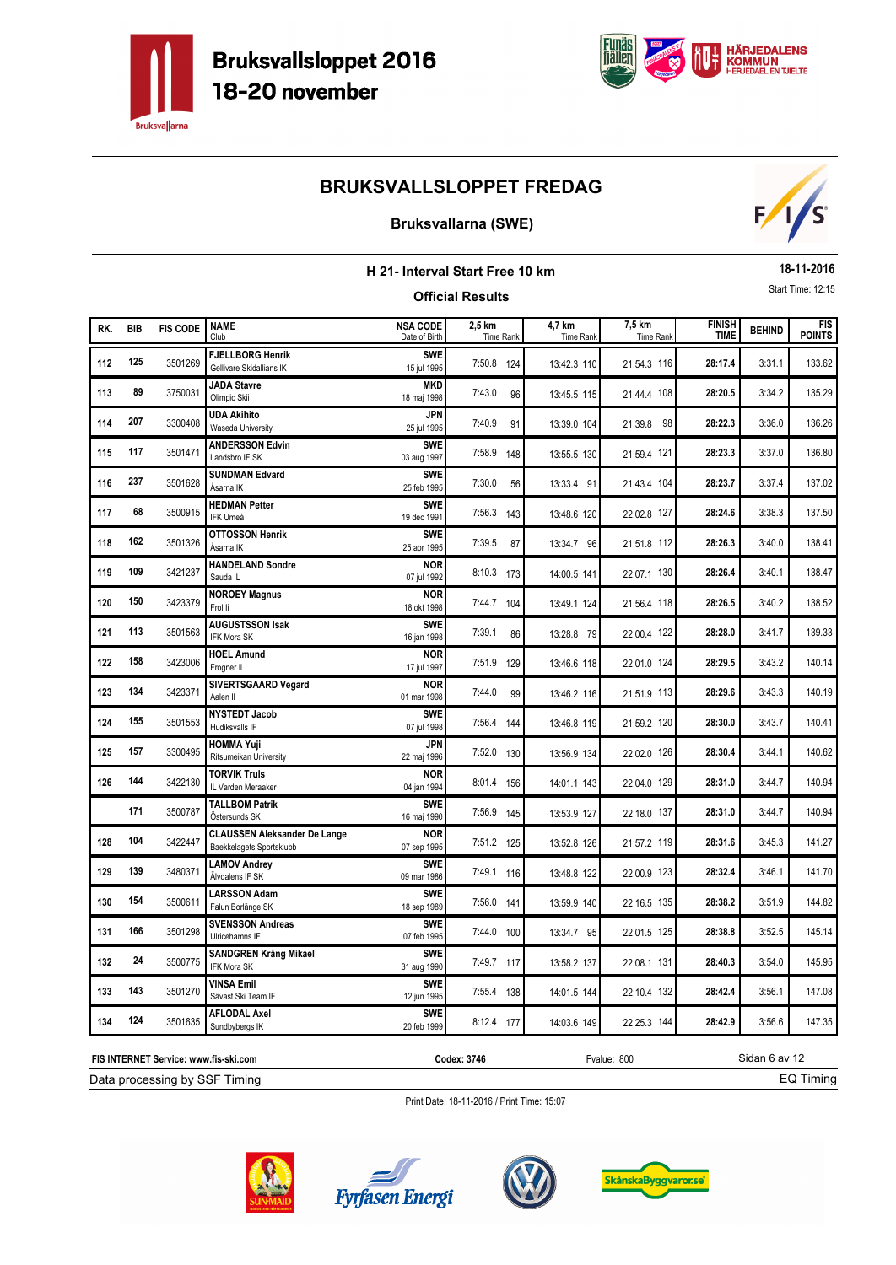



### **Bruksvallarna (SWE)**



|                                                                        |            |                                       |                                                                 | H 21- Interval Start Free 10 km  |                            |                     |                            |                       |               | 18-11-2016                  |
|------------------------------------------------------------------------|------------|---------------------------------------|-----------------------------------------------------------------|----------------------------------|----------------------------|---------------------|----------------------------|-----------------------|---------------|-----------------------------|
|                                                                        |            |                                       |                                                                 |                                  | <b>Official Results</b>    |                     |                            |                       |               | Start Time: 12:15           |
| RK.                                                                    | <b>BIB</b> | <b>FIS CODE</b>                       | <b>NAME</b><br>Club                                             | <b>NSA CODE</b><br>Date of Birth | 2,5 km<br><b>Time Rank</b> | 4,7 km<br>Time Rank | 7,5 km<br><b>Time Rank</b> | <b>FINISH</b><br>TIME | <b>BEHIND</b> | <b>FIS</b><br><b>POINTS</b> |
| 112                                                                    | 125        | 3501269                               | <b>FJELLBORG Henrik</b><br>Gellivare Skidallians IK             | <b>SWE</b><br>15 jul 1995        | 7:50.8 124                 | 13:42.3 110         | 21:54.3 116                | 28:17.4               | 3:31.1        | 133.62                      |
| 113                                                                    | 89         | 3750031                               | <b>JADA Stavre</b><br>Olimpic Skii                              | <b>MKD</b><br>18 maj 1998        | 7:43.0<br>96               | 13:45.5 115         | 21:44.4 108                | 28:20.5               | 3:34.2        | 135.29                      |
| 114                                                                    | 207        | 3300408                               | <b>UDA Akihito</b><br>Waseda University                         | JPN<br>25 jul 1995               | 7:40.9<br>91               | 13:39.0 104         | 21:39.8 98                 | 28:22.3               | 3:36.0        | 136.26                      |
| 115                                                                    | 117        | 3501471                               | <b>ANDERSSON Edvin</b><br>Landsbro IF SK                        | <b>SWE</b><br>03 aug 1997        | 7:58.9 148                 | 13:55.5 130         | 21:59.4 121                | 28:23.3               | 3:37.0        | 136.80                      |
| 116                                                                    | 237        | 3501628                               | <b>SUNDMAN Edvard</b><br>Åsarna IK                              | <b>SWE</b><br>25 feb 1995        | 7:30.0<br>56               | 13:33.4 91          | 21:43.4 104                | 28:23.7               | 3:37.4        | 137.02                      |
| 117                                                                    | 68         | 3500915                               | <b>HEDMAN Petter</b><br>IFK Umeå                                | <b>SWE</b><br>19 dec 1991        | 7:56.3 143                 | 13:48.6 120         | 22:02.8 127                | 28:24.6               | 3:38.3        | 137.50                      |
| 118                                                                    | 162        | 3501326                               | <b>OTTOSSON Henrik</b><br>Åsarna IK                             | <b>SWE</b><br>25 apr 1995        | 7:39.5<br>87               | 13:34.7 96          | 21:51.8 112                | 28:26.3               | 3:40.0        | 138.41                      |
| 119                                                                    | 109        | 3421237                               | <b>HANDELAND Sondre</b><br>Sauda IL                             | <b>NOR</b><br>07 jul 1992        | 8:10.3 173                 | 14:00.5 141         | 22:07.1 130                | 28:26.4               | 3:40.1        | 138.47                      |
| 120                                                                    | 150        | 3423379                               | <b>NOROEY Magnus</b><br>Frol li                                 | <b>NOR</b><br>18 okt 1998        | 7:44.7 104                 | 13:49.1 124         | 21:56.4 118                | 28:26.5               | 3:40.2        | 138.52                      |
| 121                                                                    | 113        | 3501563                               | <b>AUGUSTSSON Isak</b><br>IFK Mora SK                           | <b>SWE</b><br>16 jan 1998        | 7:39.1<br>86               | 13:28.8 79          | 22:00.4 122                | 28:28.0               | 3:41.7        | 139.33                      |
| 122                                                                    | 158        | 3423006                               | <b>HOEL Amund</b><br>Frogner II                                 | <b>NOR</b><br>17 jul 1997        | 7:51.9 129                 | 13:46.6 118         | 22:01.0 124                | 28:29.5               | 3:43.2        | 140.14                      |
| 123                                                                    | 134        | 3423371                               | SIVERTSGAARD Vegard<br>Aalen II                                 | <b>NOR</b><br>01 mar 1998        | 7:44.0<br>99               | 13:46.2 116         | 21:51.9 113                | 28:29.6               | 3:43.3        | 140.19                      |
| 124                                                                    | 155        | 3501553                               | <b>NYSTEDT Jacob</b><br>Hudiksvalls IF                          | <b>SWE</b><br>07 jul 1998        | 7:56.4 144                 | 13:46.8 119         | 21:59.2 120                | 28:30.0               | 3:43.7        | 140.41                      |
| 125                                                                    | 157        | 3300495                               | <b>HOMMA Yuji</b><br>Ritsumeikan University                     | JPN<br>22 maj 1996               | 7:52.0 130                 | 13:56.9 134         | 22:02.0 126                | 28:30.4               | 3:44.1        | 140.62                      |
| 126                                                                    | 144        | 3422130                               | <b>TORVIK Truls</b><br>IL Varden Meraaker                       | <b>NOR</b><br>04 jan 1994        | 8:01.4 156                 | 14:01.1 143         | 22:04.0 129                | 28:31.0               | 3:44.7        | 140.94                      |
|                                                                        | 171        | 3500787                               | <b>TALLBOM Patrik</b><br>Östersunds SK                          | <b>SWF</b><br>16 maj 1990        | 7:56.9 145                 | 13:53.9 127         | 22:18.0 137                | 28:31.0               | 3:44.7        | 140.94                      |
| 128                                                                    | 104        | 3422447                               | <b>CLAUSSEN Aleksander De Lange</b><br>Baekkelagets Sportsklubb | <b>NOR</b><br>07 sep 1995        | 7:51.2 125                 | 13:52.8 126         | 21:57.2 119                | 28:31.6               | 3:45.3        | 141.27                      |
| 129                                                                    | 139        | 3480371                               | <b>LAMOV Andrey</b><br>Älvdalens IF SK                          | <b>SWE</b><br>09 mar 1986        | 7:49.1 116                 | 13:48.8 122         | 22:00.9 123                | 28:32.4               | 3:46.1        | 141.70                      |
| 130                                                                    | 154        | 3500611                               | <b>LARSSON Adam</b><br>Falun Borlänge SK                        | <b>SWE</b><br>18 sep 1989        | 7:56.0 141                 | 13:59.9 140         | 22:16.5 135                | 28:38.2               | 3:51.9        | 144.82                      |
| 131                                                                    | 166        | 3501298                               | <b>SVENSSON Andreas</b><br>Ulricehamns IF                       | <b>SWE</b><br>07 feb 1995        | 7:44.0 100                 | 13:34.7 95          | 22:01.5 125                | 28:38.8               | 3:52.5        | 145.14                      |
| 132                                                                    | 24         | 3500775                               | <b>SANDGREN Krång Mikael</b><br>IFK Mora SK                     | <b>SWE</b><br>31 aug 1990        | 7:49.7 117                 | 13:58.2 137         | 22:08.1 131                | 28:40.3               | 3:54.0        | 145.95                      |
| 133                                                                    | 143        | 3501270                               | <b>VINSA Emil</b><br>Sävast Ski Team IF                         | <b>SWE</b><br>12 jun 1995        | 7:55.4 138                 | 14:01.5 144         | 22:10.4 132                | 28:42.4               | 3:56.1        | 147.08                      |
| AFLODAL Axel<br>124<br>3501635<br>134<br>20 feb 1999<br>Sundbybergs IK |            |                                       |                                                                 |                                  | 8:12.4 177                 | 14:03.6 149         | 22:25.3 144                | 28:42.9               | 3:56.6        | 147.35                      |
|                                                                        |            | FIS INTERNET Service: www.fis-ski.com |                                                                 |                                  | Codex: 3746                |                     | Fvalue: 800                |                       | Sidan 6 av 12 |                             |

Data processing by SSF Timing

EQ Timing







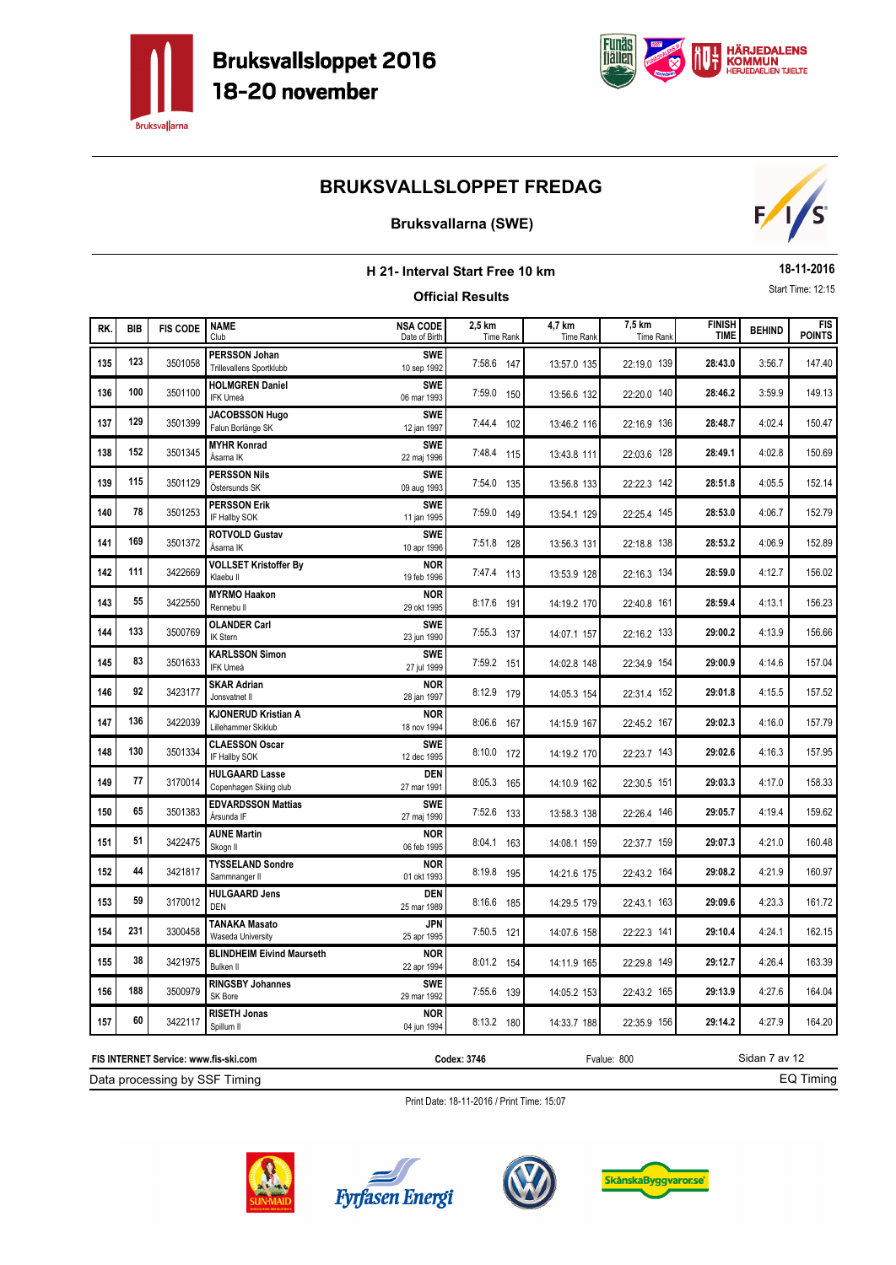



### **Bruksvallarna (SWE)**



| H 21- Interval Start Free 10 km |            |                 |                                                      |                                  |                         |                     |                     |                              |               | 18-11-2016                  |
|---------------------------------|------------|-----------------|------------------------------------------------------|----------------------------------|-------------------------|---------------------|---------------------|------------------------------|---------------|-----------------------------|
|                                 |            |                 |                                                      |                                  | <b>Official Results</b> |                     |                     |                              |               | Start Time: 12:15           |
| RK.                             | <b>BIB</b> | <b>FIS CODE</b> | <b>NAME</b><br>Club                                  | <b>NSA CODE</b><br>Date of Birth | 2,5 km<br>Time Rank     | 4,7 km<br>Time Rank | 7,5 km<br>Time Rank | <b>FINISH</b><br><b>TIME</b> | <b>BEHIND</b> | <b>FIS</b><br><b>POINTS</b> |
| 135                             | 123        | 3501058         | PERSSON Johan<br>Trillevallens Sportklubb            | <b>SWE</b><br>10 sep 1992        | 7:58.6 147              | 13:57.0 135         | 22:19.0 139         | 28:43.0                      | 3:56.7        | 147.40                      |
| 136                             | 100        | 3501100         | <b>HOLMGREN Daniel</b><br><b>IFK Umeå</b>            | <b>SWE</b><br>06 mar 1993        | 7:59.0 150              | 13:56.6 132         | 22:20.0 140         | 28:46.2                      | 3:59.9        | 149.13                      |
| 137                             | 129        | 3501399         | <b>JACOBSSON Hugo</b><br>Falun Borlänge SK           | <b>SWE</b><br>12 jan 1997        | 7:44.4 102              | 13:46.2 116         | 22:16.9 136         | 28:48.7                      | 4:02.4        | 150.47                      |
| 138                             | 152        | 3501345         | <b>MYHR Konrad</b><br>Åsarna IK                      | <b>SWE</b><br>22 maj 1996        | 7:48.4 115              | 13:43.8 111         | 22:03.6 128         | 28:49.1                      | 4:02.8        | 150.69                      |
| 139                             | 115        | 3501129         | <b>PERSSON Nils</b><br>Östersunds SK                 | <b>SWE</b><br>09 aug 1993        | 7:54.0 135              | 13:56.8 133         | 22:22.3 142         | 28:51.8                      | 4:05.5        | 152.14                      |
| 140                             | 78         | 3501253         | <b>PERSSON Erik</b><br>IF Hallby SOK                 | <b>SWE</b><br>11 jan 1995        | 7:59.0 149              | 13:54.1 129         | 22:25.4 145         | 28:53.0                      | 4:06.7        | 152.79                      |
| 141                             | 169        | 3501372         | <b>ROTVOLD Gustav</b><br>Åsarna IK                   | <b>SWE</b><br>10 apr 1996        | 7:51.8 128              | 13:56.3 131         | 22:18.8 138         | 28:53.2                      | 4:06.9        | 152.89                      |
| 142                             | 111        | 3422669         | <b>VOLLSET Kristoffer By</b><br>Klaebu II            | <b>NOR</b><br>19 feb 1996        | 7:47.4 113              | 13:53.9 128         | 22:16.3 134         | 28:59.0                      | 4:12.7        | 156.02                      |
| 143                             | 55         | 3422550         | <b>MYRMO Haakon</b><br>Rennebu II                    | <b>NOR</b><br>29 okt 1995        | 8:17.6 191              | 14:19.2 170         | 22:40.8 161         | 28:59.4                      | 4:13.1        | 156.23                      |
| 144                             | 133        | 3500769         | <b>OLANDER Carl</b><br>IK Stern                      | <b>SWE</b><br>23 jun 1990        | 7:55.3 137              | 14:07.1 157         | 22:16.2 133         | 29:00.2                      | 4:13.9        | 156.66                      |
| 145                             | 83         | 3501633         | <b>KARLSSON Simon</b><br>IFK Umeå                    | <b>SWE</b><br>27 jul 1999        | 7:59.2 151              | 14:02.8 148         | 22:34.9 154         | 29:00.9                      | 4:14.6        | 157.04                      |
| 146                             | 92         | 3423177         | <b>SKAR Adrian</b><br>Jonsvatnet II                  | <b>NOR</b><br>28 jan 1997        | 8:12.9 179              | 14:05.3 154         | 22:31.4 152         | 29:01.8                      | 4:15.5        | 157.52                      |
| 147                             | 136        | 3422039         | <b>KJONERUD Kristian A</b><br>Lillehammer Skiklub    | <b>NOR</b><br>18 nov 1994        | 8:06.6 167              | 14:15.9 167         | 22:45.2 167         | 29:02.3                      | 4:16.0        | 157.79                      |
| 148                             | 130        | 3501334         | <b>CLAESSON Oscar</b><br>IF Hallby SOK               | <b>SWE</b><br>12 dec 1995        | 8:10.0 172              | 14:19.2 170         | 22:23.7 143         | 29:02.6                      | 4:16.3        | 157.95                      |
| 149                             | 77         | 3170014         | <b>HULGAARD Lasse</b><br>Copenhagen Skiing club      | <b>DEN</b><br>27 mar 1991        | 8:05.3 165              | 14:10.9 162         | 22:30.5 151         | 29:03.3                      | 4:17.0        | 158.33                      |
| 150                             | 65         | 3501383         | <b>EDVARDSSON Mattias</b><br>Årsunda IF              | <b>SWE</b><br>27 maj 1990        | 7:52.6 133              | 13:58.3 138         | 22:26.4 146         | 29:05.7                      | 4:19.4        | 159.62                      |
| 151                             | 51         | 3422475         | <b>AUNE Martin</b><br>Skogn II                       | <b>NOR</b><br>06 feb 1995        | 8:04.1 163              | 14:08.1 159         | 22:37.7 159         | 29:07.3                      | 4:21.0        | 160.48                      |
| 152                             | 44         | 3421817         | <b>TYSSELAND Sondre</b><br>Sammnanger II             | <b>NOR</b><br>01 okt 1993        | 8:19.8 195              | 14:21.6 175         | 22:43.2 164         | 29:08.2                      | 4:21.9        | 160.97                      |
| 153                             | 59         | 3170012         | <b>HULGAARD Jens</b><br><b>DEN</b>                   | <b>DEN</b><br>25 mar 1989        | 8:16.6 185              | 14:29.5 179         | 22:43.1 163         | 29:09.6                      | 4:23.3        | 161.72                      |
| 154                             | 231        | 3300458         | <b>TANAKA Masato</b><br>Waseda University            | JPN<br>25 apr 1995               | 7:50.5 121              | 14:07.6 158         | 22:22.3 141         | 29:10.4                      | 4:24.1        | 162.15                      |
| 155                             | 38         | 3421975         | <b>BLINDHEIM Eivind Maurseth</b><br><b>Bulken II</b> | <b>NOR</b><br>22 apr 1994        | 8:01.2 154              | 14:11.9 165         | 22:29.8 149         | 29:12.7                      | 4:26.4        | 163.39                      |
| 156                             | 188        | 3500979         | <b>RINGSBY Johannes</b><br>SK Bore                   | <b>SWE</b><br>29 mar 1992        | 7:55.6 139              | 14:05.2 153         | 22:43.2 165         | 29:13.9                      | 4:27.6        | 164.04                      |
| 157                             | 60         | 3422117         | <b>RISETH Jonas</b><br>Spillum II                    | <b>NOR</b><br>04 jun 1994        | 8:13.2 180              | 14:33.7 188         | 22:35.9 156         | 29:14.2                      | 4:27.9        | 164.20                      |

Print Date: 18-11-2016 / Print Time: 15:07

Data processing by SSF Timing **FIS INTERNET Service: www.fis-ski.com**





**Codex: 3746** Fvalue: 800



Sidan 7 av 12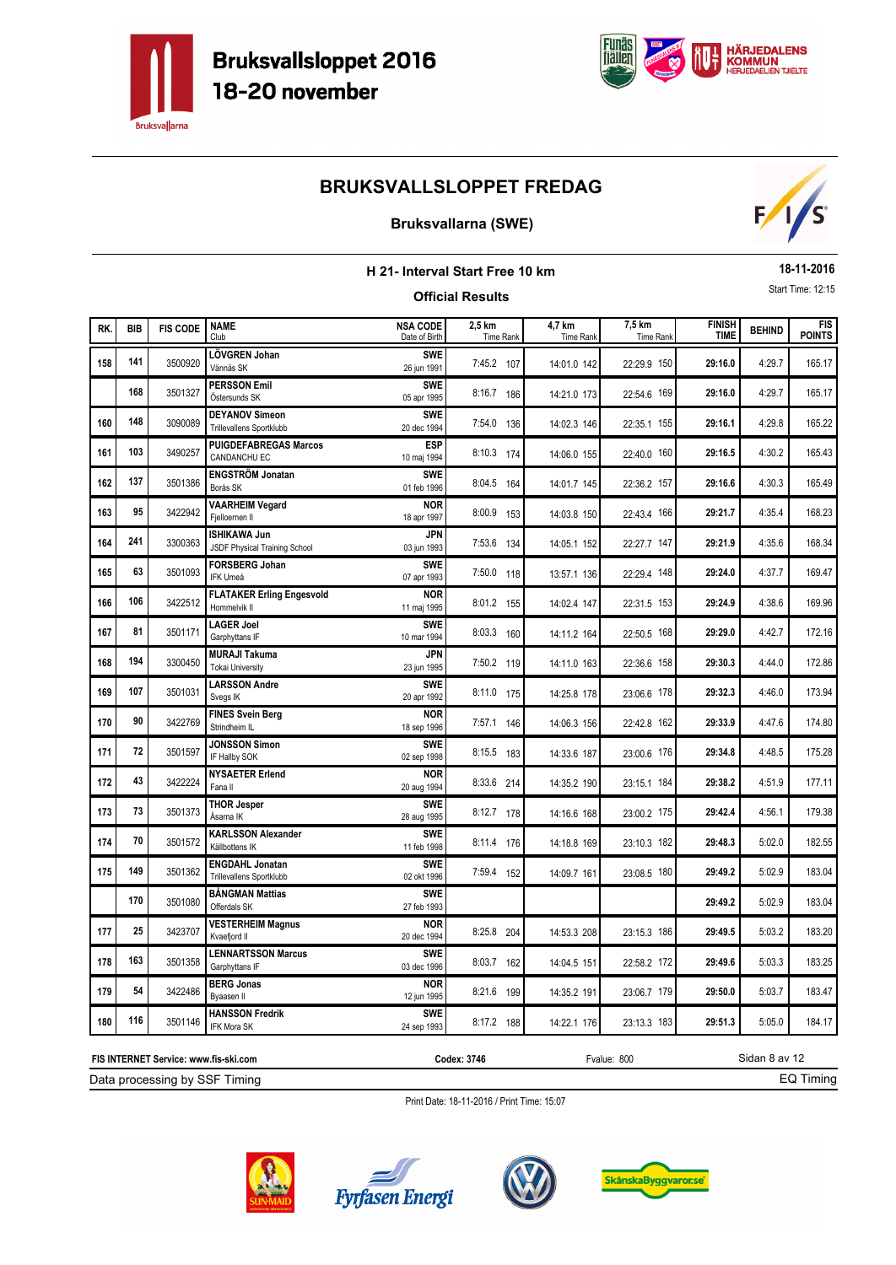



### **Bruksvallarna (SWE)**



| H 21- Interval Start Free 10 km<br><b>Official Results</b> |            |                 |                                                           |                                  |                            |                            |                            |                              |               | 18-11-2016                  |
|------------------------------------------------------------|------------|-----------------|-----------------------------------------------------------|----------------------------------|----------------------------|----------------------------|----------------------------|------------------------------|---------------|-----------------------------|
|                                                            |            |                 |                                                           |                                  |                            |                            |                            |                              |               | Start Time: 12:15           |
| RK.                                                        | <b>BIB</b> | <b>FIS CODE</b> | <b>NAME</b><br>Club                                       | <b>NSA CODE</b><br>Date of Birth | 2,5 km<br><b>Time Rank</b> | 4.7 km<br><b>Time Rank</b> | 7,5 km<br><b>Time Rank</b> | <b>FINISH</b><br><b>TIME</b> | <b>BEHIND</b> | <b>FIS</b><br><b>POINTS</b> |
| 158                                                        | 141        | 3500920         | LÖVGREN Johan<br>Vännäs SK                                | <b>SWE</b><br>26 jun 1991        | 7:45.2 107                 | 14:01.0 142                | 22:29.9 150                | 29:16.0                      | 4:29.7        | 165.17                      |
|                                                            | 168        | 3501327         | <b>PERSSON Emil</b><br>Östersunds SK                      | <b>SWE</b><br>05 apr 1995        | 8:16.7 186                 | 14:21.0 173                | 22:54.6 169                | 29:16.0                      | 4:29.7        | 165.17                      |
| 160                                                        | 148        | 3090089         | <b>DEYANOV Simeon</b><br>Trillevallens Sportklubb         | <b>SWE</b><br>20 dec 1994        | 7:54.0 136                 | 14:02.3 146                | 22:35.1 155                | 29:16.1                      | 4:29.8        | 165.22                      |
| 161                                                        | 103        | 3490257         | <b>PUIGDEFABREGAS Marcos</b><br><b>CANDANCHU EC</b>       | <b>ESP</b><br>10 maj 1994        | 8:10.3 174                 | 14:06.0 155                | 22:40.0 160                | 29:16.5                      | 4:30.2        | 165.43                      |
| 162                                                        | 137        | 3501386         | <b>ENGSTRÖM Jonatan</b><br>Borås SK                       | <b>SWE</b><br>01 feb 1996        | 8:04.5 164                 | 14:01.7 145                | 22:36.2 157                | 29:16.6                      | 4:30.3        | 165.49                      |
| 163                                                        | 95         | 3422942         | <b>VAARHEIM Vegard</b><br>Fjelloernen II                  | nor<br>18 apr 1997               | 8:00.9 153                 | 14:03.8 150                | 22:43.4 166                | 29:21.7                      | 4:35.4        | 168.23                      |
| 164                                                        | 241        | 3300363         | <b>ISHIKAWA Jun</b><br>JSDF Physical Training School      | <b>JPN</b><br>03 jun 1993        | 7:53.6<br>134              | 14:05.1 152                | 22:27.7 147                | 29:21.9                      | 4:35.6        | 168.34                      |
| 165                                                        | 63         | 3501093         | <b>FORSBERG Johan</b><br>IFK Umeå                         | <b>SWE</b><br>07 apr 1993        | 7:50.0 118                 | 13:57.1 136                | 22:29.4 148                | 29:24.0                      | 4:37.7        | 169.47                      |
| 166                                                        | 106        | 3422512         | <b>FLATAKER Erling Engesvold</b><br>Hommelvik II          | <b>NOR</b><br>11 maj 1995        | 8:01.2 155                 | 14:02.4 147                | 22:31.5 153                | 29:24.9                      | 4:38.6        | 169.96                      |
| 167                                                        | 81         | 3501171         | <b>LAGER Joel</b><br>Garphyttans IF                       | <b>SWE</b><br>10 mar 1994        | 8:03.3 160                 | 14:11.2 164                | 22:50.5 168                | 29:29.0                      | 4:42.7        | 172.16                      |
| 168                                                        | 194        | 3300450         | <b>MURAJI Takuma</b><br><b>Tokai University</b>           | JPN<br>23 jun 1995               | 7:50.2 119                 | 14:11.0 163                | 22:36.6 158                | 29:30.3                      | 4:44.0        | 172.86                      |
| 169                                                        | 107        | 3501031         | <b>LARSSON Andre</b><br>Svegs IK                          | <b>SWE</b><br>20 apr 1992        | 8:11.0 175                 | 14:25.8 178                | 23:06.6 178                | 29:32.3                      | 4:46.0        | 173.94                      |
| 170                                                        | 90         | 3422769         | <b>FINES Svein Berg</b><br>Strindheim IL                  | <b>NOR</b><br>18 sep 1996        | 7:57.1 146                 | 14:06.3 156                | 22:42.8 162                | 29:33.9                      | 4:47.6        | 174.80                      |
| 171                                                        | 72         | 3501597         | <b>JONSSON Simon</b><br>IF Hallby SOK                     | <b>SWE</b><br>02 sep 1998        | 8:15.5 183                 | 14:33.6 187                | 23:00.6 176                | 29:34.8                      | 4:48.5        | 175.28                      |
| 172                                                        | 43         | 3422224         | <b>NYSAETER Erlend</b><br>Fana II                         | <b>NOR</b><br>20 aug 1994        | 8:33.6 214                 | 14:35.2 190                | 23:15.1 184                | 29:38.2                      | 4:51.9        | 177.11                      |
| 173                                                        | 73         | 3501373         | <b>THOR Jesper</b><br>Åsarna IK                           | <b>SWE</b><br>28 aug 1995        | 8:12.7 178                 | 14:16.6 168                | 23:00.2 175                | 29:42.4                      | 4:56.1        | 179.38                      |
| 174                                                        | 70         | 3501572         | <b>KARLSSON Alexander</b><br>Källbottens IK               | <b>SWE</b><br>11 feb 1998        | 8:11.4 176                 | 14:18.8 169                | 23:10.3 182                | 29:48.3                      | 5:02.0        | 182.55                      |
| 175                                                        | 149        | 3501362         | <b>ENGDAHL Jonatan</b><br><b>Trillevallens Sportklubb</b> | <b>SWE</b><br>02 okt 1996        | 7:59.4 152                 | 14:09.7 161                | 23:08.5 180                | 29:49.2                      | 5:02.9        | 183.04                      |
|                                                            | 170        | 3501080         | <b>BÅNGMAN Mattias</b><br>Offerdals SK                    | <b>SWE</b><br>27 feb 1993        |                            |                            |                            | 29:49.2                      | 5:02.9        | 183.04                      |
| 177                                                        | 25         | 3423707         | <b>VESTERHEIM Magnus</b><br>Kvaefjord II                  | <b>NOR</b><br>20 dec 1994        | 8:25.8 204                 | 14:53.3 208                | 23:15.3 186                | 29:49.5                      | 5:03.2        | 183.20                      |
| 178                                                        | 163        | 3501358         | <b>LENNARTSSON Marcus</b><br>Garphyttans IF               | <b>SWE</b><br>03 dec 1996        | 8:03.7<br>162              | 14:04.5 151                | 22:58.2 172                | 29:49.6                      | 5:03.3        | 183.25                      |
| 179                                                        | 54         | 3422486         | <b>BERG Jonas</b><br>Byaasen II                           | <b>NOR</b><br>12 jun 1995        | 8:21.6 199                 | 14:35.2 191                | 23:06.7 179                | 29:50.0                      | 5:03.7        | 183.47                      |
| 180                                                        | 116        | 3501146         | <b>HANSSON Fredrik</b><br><b>IFK Mora SK</b>              | <b>SWE</b><br>24 sep 1993        | 8:17.2 188                 | 14:22.1 176                | 23:13.3 183                | 29:51.3                      | 5:05.0        | 184.17                      |

Print Date: 18-11-2016 / Print Time: 15:07



Data processing by SSF Timing **FIS INTERNET Service: www.fis-ski.com**





**Codex: 3746** Fvalue: 800



Sidan 8 av 12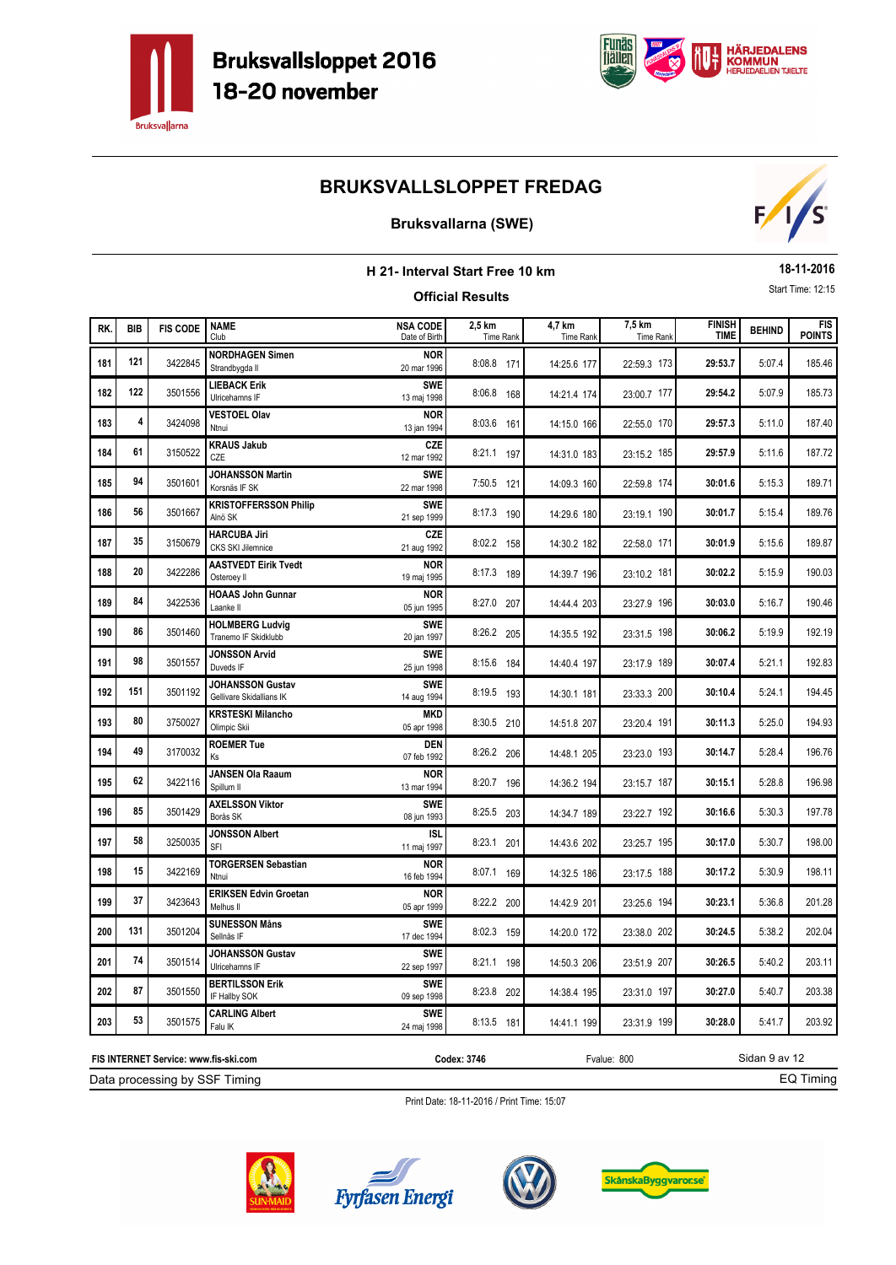



### **Bruksvallarna (SWE)**



| H 21- Interval Start Free 10 km |            |                 |                                                     |                                  |                            |                            |                            |                              | 18-11-2016    |                             |
|---------------------------------|------------|-----------------|-----------------------------------------------------|----------------------------------|----------------------------|----------------------------|----------------------------|------------------------------|---------------|-----------------------------|
|                                 |            |                 |                                                     |                                  | <b>Official Results</b>    |                            |                            |                              |               | Start Time: 12:15           |
| RK.                             | <b>BIB</b> | <b>FIS CODE</b> | <b>NAME</b><br>Club                                 | <b>NSA CODE</b><br>Date of Birth | 2,5 km<br><b>Time Rank</b> | 4,7 km<br><b>Time Rank</b> | 7,5 km<br><b>Time Rank</b> | <b>FINISH</b><br><b>TIME</b> | <b>BEHIND</b> | <b>FIS</b><br><b>POINTS</b> |
| 181                             | 121        | 3422845         | <b>NORDHAGEN Simen</b><br>Strandbygda II            | <b>NOR</b><br>20 mar 1996        | 8:08.8 171                 | 14:25.6 177                | 22:59.3 173                | 29:53.7                      | 5:07.4        | 185.46                      |
| 182                             | 122        | 3501556         | <b>LIEBACK Erik</b><br>Ulricehamns IF               | <b>SWE</b><br>13 maj 1998        | 8:06.8 168                 | 14:21.4 174                | 23:00.7 177                | 29:54.2                      | 5:07.9        | 185.73                      |
| 183                             | 4          | 3424098         | <b>VESTOEL Olav</b><br>Ntnui                        | <b>NOR</b><br>13 jan 1994        | 8:03.6 161                 | 14:15.0 166                | 22:55.0 170                | 29:57.3                      | 5:11.0        | 187.40                      |
| 184                             | 61         | 3150522         | <b>KRAUS Jakub</b><br>CZE                           | CZE<br>12 mar 1992               | 8:21.1 197                 | 14:31.0 183                | 23:15.2 185                | 29:57.9                      | 5:11.6        | 187.72                      |
| 185                             | 94         | 3501601         | <b>JOHANSSON Martin</b><br>Korsnäs IF SK            | <b>SWE</b><br>22 mar 1998        | 7:50.5 121                 | 14:09.3 160                | 22:59.8 174                | 30:01.6                      | 5:15.3        | 189.71                      |
| 186                             | 56         | 3501667         | <b>KRISTOFFERSSON Philip</b><br>Alnö SK             | <b>SWE</b><br>21 sep 1999        | 8:17.3 190                 | 14:29.6 180                | 23:19.1 190                | 30:01.7                      | 5:15.4        | 189.76                      |
| 187                             | 35         | 3150679         | <b>HARCUBA Jiri</b><br>CKS SKI Jilemnice            | CZE<br>21 aug 1992               | 8:02.2 158                 | 14:30.2 182                | 22:58.0 171                | 30:01.9                      | 5:15.6        | 189.87                      |
| 188                             | 20         | 3422286         | <b>AASTVEDT Eirik Tvedt</b><br>Osteroey II          | <b>NOR</b><br>19 maj 1995        | 8:17.3 189                 | 14:39.7 196                | 23:10.2 181                | 30:02.2                      | 5:15.9        | 190.03                      |
| 189                             | 84         | 3422536         | <b>HOAAS John Gunnar</b><br>Laanke II               | <b>NOR</b><br>05 jun 1995        | 8:27.0 207                 | 14:44.4 203                | 23:27.9 196                | 30:03.0                      | 5:16.7        | 190.46                      |
| 190                             | 86         | 3501460         | <b>HOLMBERG Ludvig</b><br>Tranemo IF Skidklubb      | <b>SWE</b><br>20 jan 1997        | 8:26.2 205                 | 14:35.5 192                | 23:31.5 198                | 30:06.2                      | 5:19.9        | 192.19                      |
| 191                             | 98         | 3501557         | <b>JONSSON Arvid</b><br>Duveds IF                   | <b>SWE</b><br>25 jun 1998        | 8:15.6 184                 | 14:40.4 197                | 23:17.9 189                | 30:07.4                      | 5:21.1        | 192.83                      |
| 192                             | 151        | 3501192         | <b>JOHANSSON Gustav</b><br>Gellivare Skidallians IK | <b>SWE</b><br>14 aug 1994        | 8:19.5 193                 | 14:30.1 181                | 23:33.3 200                | 30:10.4                      | 5:24.1        | 194.45                      |
| 193                             | 80         | 3750027         | <b>KRSTESKI Milancho</b><br>Olimpic Skii            | <b>MKD</b><br>05 apr 1998        | 8:30.5 210                 | 14:51.8 207                | 23:20.4 191                | 30:11.3                      | 5:25.0        | 194.93                      |
| 194                             | 49         | 3170032         | <b>ROEMER Tue</b><br>Ks                             | <b>DEN</b><br>07 feb 1992        | 8:26.2 206                 | 14:48.1 205                | 23:23.0 193                | 30:14.7                      | 5:28.4        | 196.76                      |
| 195                             | 62         | 3422116         | <b>JANSEN Ola Raaum</b><br>Spillum II               | <b>NOR</b><br>13 mar 1994        | 8:20.7 196                 | 14:36.2 194                | 23:15.7 187                | 30:15.1                      | 5:28.8        | 196.98                      |
| 196                             | 85         | 3501429         | <b>AXELSSON Viktor</b><br>Borås SK                  | <b>SWE</b><br>08 jun 1993        | 8:25.5 203                 | 14:34.7 189                | 23:22.7 192                | 30:16.6                      | 5:30.3        | 197.78                      |
| 197                             | 58         | 3250035         | <b>JONSSON Albert</b><br>SFI                        | ISL<br>11 maj 1997               | 8:23.1 201                 | 14:43.6 202                | 23:25.7 195                | 30:17.0                      | 5:30.7        | 198.00                      |
| 198                             | 15         | 3422169         | <b>TORGERSEN Sebastian</b><br>Ntnui                 | <b>NOR</b><br>16 feb 1994        | 8:07.1 169                 | 14:32.5 186                | 23:17.5 188                | 30:17.2                      | 5:30.9        | 198.11                      |
| 199                             | 37         | 3423643         | <b>ERIKSEN Edvin Groetan</b><br>Melhus II           | <b>NOR</b><br>05 apr 1999        | 8:22.2 200                 | 14:42.9 201                | 23:25.6 194                | 30:23.1                      | 5:36.8        | 201.28                      |
| 200                             | 131        | 3501204         | <b>SUNESSON Måns</b><br>Sellnäs IF                  | <b>SWE</b><br>17 dec 1994        | 8:02.3 159                 | 14:20.0 172                | 23:38.0 202                | 30:24.5                      | 5:38.2        | 202.04                      |
| 201                             | 74         | 3501514         | <b>JOHANSSON Gustav</b><br>Ulricehamns IF           | <b>SWE</b><br>22 sep 1997        | 8:21.1 198                 | 14:50.3 206                | 23:51.9 207                | 30:26.5                      | 5:40.2        | 203.11                      |
| 202                             | 87         | 3501550         | <b>BERTILSSON Erik</b><br>IF Hallby SOK             | <b>SWE</b><br>09 sep 1998        | 8:23.8 202                 | 14:38.4 195                | 23:31.0 197                | 30:27.0                      | 5:40.7        | 203.38                      |
| 203                             | 53         | 3501575         | <b>CARLING Albert</b><br>Falu IK                    | <b>SWE</b><br>24 maj 1998        | 8:13.5 181                 | 14:41.1 199                | 23:31.9 199                | 30:28.0                      | 5:41.7        | 203.92                      |

Print Date: 18-11-2016 / Print Time: 15:07



Data processing by SSF Timing **FIS INTERNET Service: www.fis-ski.com**





**Codex: 3746** Fvalue: 800



Sidan 9 av 12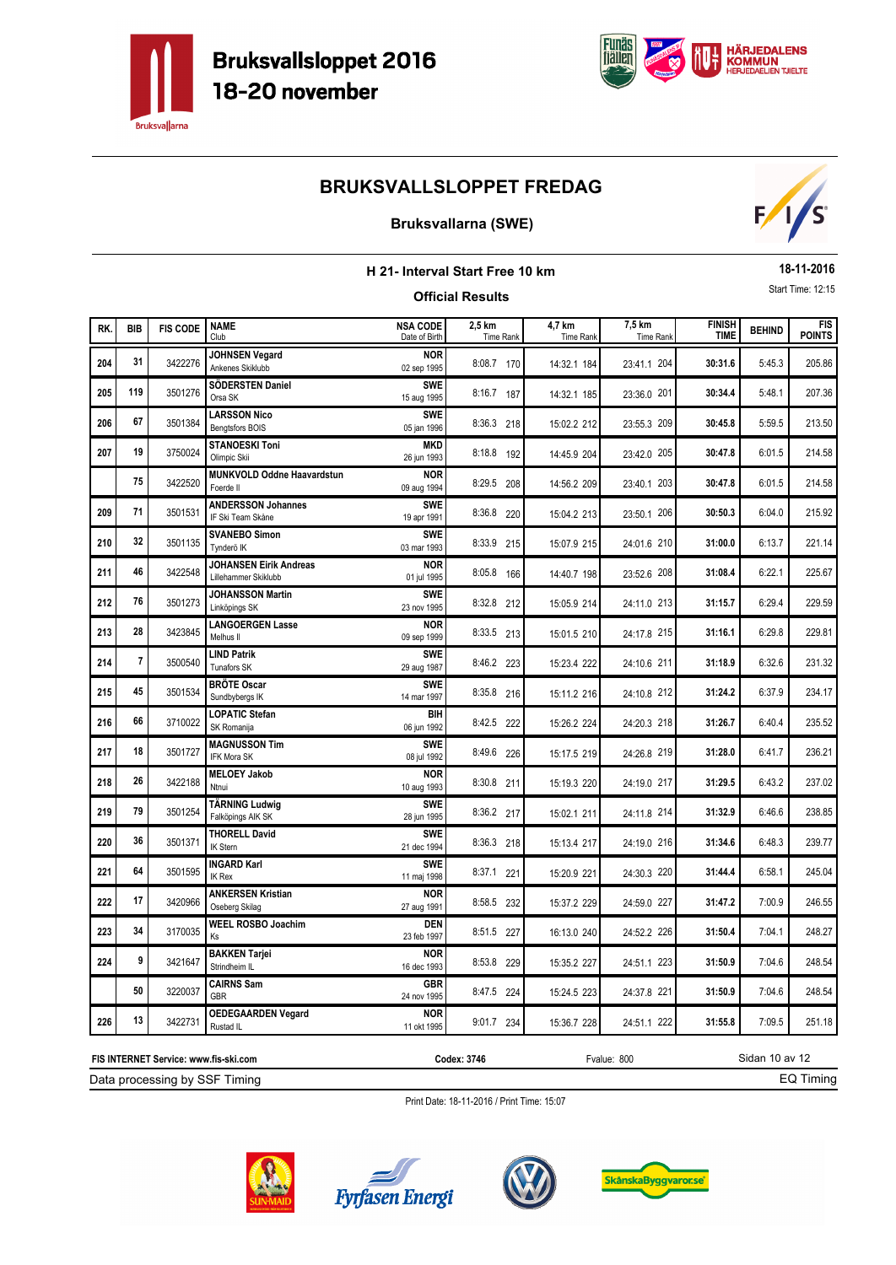



### **Bruksvallarna (SWE)**



|     |                |                 |                                                       | H 21- Interval Start Free 10 km  |                            |                     |                            |                              | 18-11-2016    |                             |
|-----|----------------|-----------------|-------------------------------------------------------|----------------------------------|----------------------------|---------------------|----------------------------|------------------------------|---------------|-----------------------------|
|     |                |                 |                                                       |                                  | <b>Official Results</b>    |                     |                            |                              |               | Start Time: 12:15           |
| RK. | <b>BIB</b>     | <b>FIS CODE</b> | <b>NAME</b><br>Club                                   | <b>NSA CODE</b><br>Date of Birth | 2,5 km<br><b>Time Rank</b> | 4,7 km<br>Time Rank | 7,5 km<br><b>Time Rank</b> | <b>FINISH</b><br><b>TIME</b> | <b>BEHIND</b> | <b>FIS</b><br><b>POINTS</b> |
| 204 | 31             | 3422276         | <b>JOHNSEN Vegard</b><br>Ankenes Skiklubb             | <b>NOR</b><br>02 sep 1995        | 8:08.7 170                 | 14:32.1 184         | 23:41.1 204                | 30:31.6                      | 5:45.3        | 205.86                      |
| 205 | 119            | 3501276         | SÖDERSTEN Daniel<br>Orsa SK                           | <b>SWE</b><br>15 aug 1995        | 8:16.7 187                 | 14:32.1 185         | 23:36.0 201                | 30:34.4                      | 5:48.1        | 207.36                      |
| 206 | 67             | 3501384         | <b>LARSSON Nico</b><br>Bengtsfors BOIS                | <b>SWE</b><br>05 jan 1996        | 8:36.3 218                 | 15:02.2 212         | 23:55.3 209                | 30:45.8                      | 5:59.5        | 213.50                      |
| 207 | 19             | 3750024         | <b>STANOESKI Toni</b><br>Olimpic Skii                 | <b>MKD</b><br>26 jun 1993        | 8:18.8 192                 | 14:45.9 204         | 23:42.0 205                | 30:47.8                      | 6:01.5        | 214.58                      |
|     | 75             | 3422520         | MUNKVOLD Oddne Haavardstun<br>Foerde II               | <b>NOR</b><br>09 aug 1994        | 8:29.5 208                 | 14:56.2 209         | 23:40.1 203                | 30:47.8                      | 6:01.5        | 214.58                      |
| 209 | 71             | 3501531         | <b>ANDERSSON Johannes</b><br>IF Ski Team Skåne        | <b>SWE</b><br>19 apr 1991        | 8:36.8 220                 | 15:04.2 213         | 23:50.1 206                | 30:50.3                      | 6:04.0        | 215.92                      |
| 210 | 32             | 3501135         | <b>SVANEBO Simon</b><br>Tvnderö IK                    | <b>SWE</b><br>03 mar 1993        | 8:33.9 215                 | 15:07.9 215         | 24:01.6 210                | 31:00.0                      | 6:13.7        | 221.14                      |
| 211 | 46             | 3422548         | <b>JOHANSEN Eirik Andreas</b><br>Lillehammer Skiklubb | <b>NOR</b><br>01 jul 1995        | 8:05.8 166                 | 14:40.7 198         | 23:52.6 208                | 31:08.4                      | 6:22.1        | 225.67                      |
| 212 | 76             | 3501273         | <b>JOHANSSON Martin</b><br>Linköpings SK              | <b>SWE</b><br>23 nov 1995        | 8:32.8 212                 | 15:05.9 214         | 24:11.0 213                | 31:15.7                      | 6:29.4        | 229.59                      |
| 213 | 28             | 3423845         | <b>LANGOERGEN Lasse</b><br>Melhus II                  | <b>NOR</b><br>09 sep 1999        | 8:33.5 213                 | 15:01.5 210         | 24:17.8 215                | 31:16.1                      | 6:29.8        | 229.81                      |
| 214 | $\overline{7}$ | 3500540         | <b>LIND Patrik</b><br><b>Tunafors SK</b>              | <b>SWE</b><br>29 aug 1987        | 8:46.2 223                 | 15:23.4 222         | 24:10.6 211                | 31:18.9                      | 6:32.6        | 231.32                      |
| 215 | 45             | 3501534         | <b>BRÖTE Oscar</b><br>Sundbybergs IK                  | <b>SWE</b><br>14 mar 1997        | 8:35.8 216                 | 15:11.2 216         | 24:10.8 212                | 31:24.2                      | 6:37.9        | 234.17                      |
| 216 | 66             | 3710022         | <b>LOPATIC Stefan</b><br>SK Romanija                  | BIH<br>06 jun 1992               | 8:42.5 222                 | 15:26.2 224         | 24:20.3 218                | 31:26.7                      | 6:40.4        | 235.52                      |
| 217 | 18             | 3501727         | <b>MAGNUSSON Tim</b><br>IFK Mora SK                   | <b>SWE</b><br>08 jul 1992        | 8:49.6 226                 | 15:17.5 219         | 24:26.8 219                | 31:28.0                      | 6:41.7        | 236.21                      |
| 218 | 26             | 3422188         | <b>MELOEY Jakob</b><br>Ntnui                          | <b>NOR</b><br>10 aug 1993        | 8:30.8 211                 | 15:19.3 220         | 24:19.0 217                | 31:29.5                      | 6:43.2        | 237.02                      |
| 219 | 79             | 3501254         | <b>TÄRNING Ludwig</b><br>Falköpings AIK SK            | <b>SWE</b><br>28 jun 1995        | 8:36.2 217                 | 15:02.1 211         | 24:11.8 214                | 31:32.9                      | 6:46.6        | 238.85                      |
| 220 | 36             | 3501371         | <b>THORELL David</b><br><b>IK Stern</b>               | <b>SWE</b><br>21 dec 1994        | 8:36.3 218                 | 15:13.4 217         | 24:19.0 216                | 31:34.6                      | 6:48.3        | 239.77                      |
| 221 | 64             | 3501595         | <b>INGARD Karl</b><br><b>IK Rex</b>                   | <b>SWE</b><br>11 maj 1998        | 8:37.1 221                 | 15:20.9 221         | 24:30.3 220                | 31:44.4                      | 6:58.1        | 245.04                      |
| 222 | 17             | 3420966         | <b>ANKERSEN Kristian</b><br>Oseberg Skilag            | <b>NOR</b><br>27 aug 1991        | 8:58.5 232                 | 15:37.2 229         | 24:59.0 227                | 31:47.2                      | 7:00.9        | 246.55                      |
| 223 | 34             | 3170035         | <b>WEEL ROSBO Joachim</b><br><b>Ks</b>                | <b>DEN</b><br>23 feb 1997        | 8:51.5 227                 | 16:13.0 240         | 24:52.2 226                | 31:50.4                      | 7:04.1        | 248.27                      |
| 224 | 9              | 3421647         | <b>BAKKEN Tarjei</b><br>Strindheim IL                 | <b>NOR</b><br>16 dec 1993        | 8:53.8 229                 | 15:35.2 227         | 24:51.1 223                | 31:50.9                      | 7:04.6        | 248.54                      |
|     | 50             | 3220037         | <b>CAIRNS Sam</b><br><b>GBR</b>                       | <b>GBR</b><br>24 nov 1995        | 8:47.5 224                 | 15:24.5 223         | 24:37.8 221                | 31:50.9                      | 7:04.6        | 248.54                      |
| 226 | 13             | 3422731         | <b>OEDEGAARDEN Vegard</b><br>Rustad IL                | <b>NOR</b><br>11 okt 1995        | 9:01.7 234                 | 15:36.7 228         | 24:51.1 222                | 31:55.8                      | 7:09.5        | 251.18                      |

Print Date: 18-11-2016 / Print Time: 15:07



Data processing by SSF Timing **FIS INTERNET Service: www.fis-ski.com**





**Codex: 3746** Fvalue: 800



Sidan 10 av 12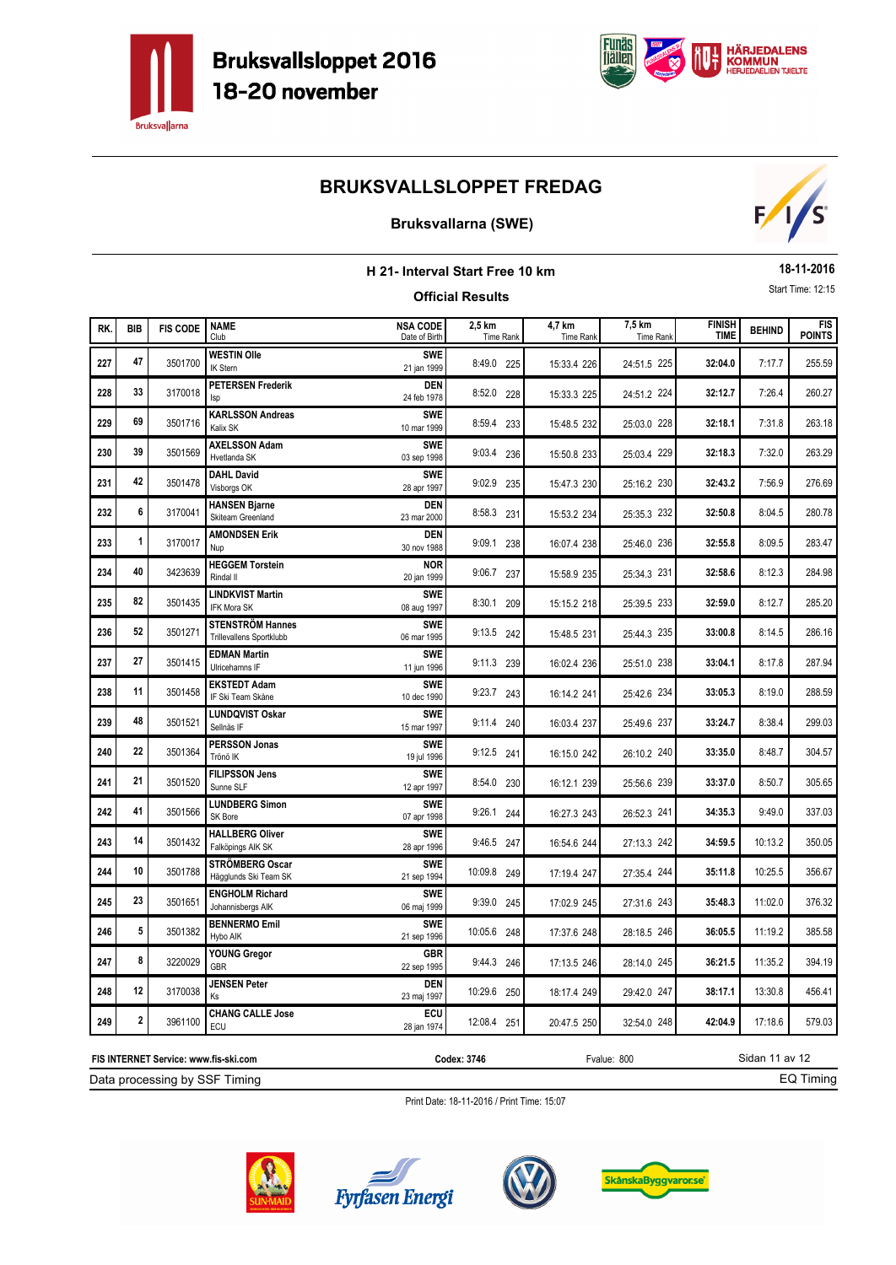



### **Bruksvallarna (SWE)**



| H 21- Interval Start Free 10 km<br><b>Official Results</b> |                         |                 |                                                     |                                  |                     |                     |                     |                              |               | 18-11-2016                  |
|------------------------------------------------------------|-------------------------|-----------------|-----------------------------------------------------|----------------------------------|---------------------|---------------------|---------------------|------------------------------|---------------|-----------------------------|
|                                                            |                         |                 |                                                     |                                  |                     |                     |                     |                              |               | Start Time: 12:15           |
| RK.                                                        | <b>BIB</b>              | <b>FIS CODE</b> | <b>NAME</b><br>Club                                 | <b>NSA CODE</b><br>Date of Birth | 2,5 km<br>Time Rank | 4,7 km<br>Time Rank | 7,5 km<br>Time Rank | <b>FINISH</b><br><b>TIME</b> | <b>BEHIND</b> | <b>FIS</b><br><b>POINTS</b> |
| 227                                                        | 47                      | 3501700         | <b>WESTIN Olle</b><br>IK Stern                      | <b>SWE</b><br>21 jan 1999        | 8:49.0 225          | 15:33.4 226         | 24:51.5 225         | 32:04.0                      | 7:17.7        | 255.59                      |
| 228                                                        | 33                      | 3170018         | <b>PETERSEN Frederik</b><br><b>Isp</b>              | <b>DEN</b><br>24 feb 1978        | 8:52.0 228          | 15:33.3 225         | 24:51.2 224         | 32:12.7                      | 7:26.4        | 260.27                      |
| 229                                                        | 69                      | 3501716         | <b>KARLSSON Andreas</b><br>Kalix SK                 | <b>SWE</b><br>10 mar 1999        | 8:59.4 233          | 15:48.5 232         | 25:03.0 228         | 32:18.1                      | 7:31.8        | 263.18                      |
| 230                                                        | 39                      | 3501569         | <b>AXELSSON Adam</b><br>Hvetlanda SK                | <b>SWE</b><br>03 sep 1998        | 9:03.4 236          | 15:50.8 233         | 25:03.4 229         | 32:18.3                      | 7:32.0        | 263.29                      |
| 231                                                        | 42                      | 3501478         | <b>DAHL David</b><br>Visborgs OK                    | <b>SWF</b><br>28 apr 1997        | 9:02.9 235          | 15:47.3 230         | 25:16.2 230         | 32:43.2                      | 7:56.9        | 276.69                      |
| 232                                                        | 6                       | 3170041         | <b>HANSEN Bjarne</b><br>Skiteam Greenland           | <b>DEN</b><br>23 mar 2000        | 8:58.3 231          | 15:53.2 234         | 25:35.3 232         | 32:50.8                      | 8:04.5        | 280.78                      |
| 233                                                        | $\mathbf{1}$            | 3170017         | <b>AMONDSEN Erik</b><br>Nup                         | <b>DEN</b><br>30 nov 1988        | 9:09.1 238          | 16:07.4 238         | 25:46.0 236         | 32:55.8                      | 8:09.5        | 283.47                      |
| 234                                                        | 40                      | 3423639         | <b>HEGGEM Torstein</b><br>Rindal II                 | <b>NOR</b><br>20 jan 1999        | 9:06.7 237          | 15:58.9 235         | 25:34.3 231         | 32:58.6                      | 8:12.3        | 284.98                      |
| 235                                                        | 82                      | 3501435         | <b>LINDKVIST Martin</b><br><b>IFK Mora SK</b>       | <b>SWE</b><br>08 aug 1997        | 8:30.1 209          | 15:15.2 218         | 25:39.5 233         | 32:59.0                      | 8:12.7        | 285.20                      |
| 236                                                        | 52                      | 3501271         | <b>STENSTRÖM Hannes</b><br>Trillevallens Sportklubb | <b>SWE</b><br>06 mar 1995        | 9:13.5 242          | 15:48.5 231         | 25:44.3 235         | 33:00.8                      | 8:14.5        | 286.16                      |
| 237                                                        | 27                      | 3501415         | <b>EDMAN Martin</b><br>Ulricehamns IF               | <b>SWE</b><br>11 jun 1996        | 9:11.3 239          | 16:02.4 236         | 25:51.0 238         | 33:04.1                      | 8:17.8        | 287.94                      |
| 238                                                        | 11                      | 3501458         | <b>EKSTEDT Adam</b><br>IF Ski Team Skåne            | <b>SWE</b><br>10 dec 1990        | 9:23.7 243          | 16:14.2 241         | 25:42.6 234         | 33:05.3                      | 8:19.0        | 288.59                      |
| 239                                                        | 48                      | 3501521         | <b>LUNDQVIST Oskar</b><br>Sellnäs IF                | <b>SWF</b><br>15 mar 1997        | 9:11.4 240          | 16:03.4 237         | 25:49.6 237         | 33:24.7                      | 8:38.4        | 299.03                      |
| 240                                                        | 22                      | 3501364         | <b>PERSSON Jonas</b><br>Trönö IK                    | <b>SWF</b><br>19 jul 1996        | 9:12.5 241          | 16:15.0 242         | 26:10.2 240         | 33:35.0                      | 8:48.7        | 304.57                      |
| 241                                                        | 21                      | 3501520         | <b>FILIPSSON Jens</b><br>Sunne SLF                  | <b>SWE</b><br>12 apr 1997        | 8:54.0 230          | 16:12.1 239         | 25:56.6 239         | 33:37.0                      | 8:50.7        | 305.65                      |
| 242                                                        | 41                      | 3501566         | <b>LUNDBERG Simon</b><br>SK Bore                    | <b>SWE</b><br>07 apr 1998        | 9:26.1 244          | 16:27.3 243         | 26:52.3 241         | 34:35.3                      | 9:49.0        | 337.03                      |
| 243                                                        | 14                      | 3501432         | <b>HALLBERG Oliver</b><br>Falköpings AIK SK         | <b>SWE</b><br>28 apr 1996        | 9:46.5 247          | 16:54.6 244         | 27:13.3 242         | 34:59.5                      | 10:13.2       | 350.05                      |
| 244                                                        | 10                      | 3501788         | STRÖMBERG Oscar<br>Hägglunds Ski Team SK            | <b>SWE</b><br>21 sep 1994        | 10:09.8 249         | 17:19.4 247         | 27:35.4 244         | 35:11.8                      | 10:25.5       | 356.67                      |
| 245                                                        | 23                      | 3501651         | <b>ENGHOLM Richard</b><br>Johannisbergs AIK         | <b>SWE</b><br>06 maj 1999        | 9:39.0 245          | 17:02.9 245         | 27:31.6 243         | 35:48.3                      | 11:02.0       | 376.32                      |
| 246                                                        | 5                       | 3501382         | <b>BENNERMO Emil</b><br>Hybo AIK                    | <b>SWE</b><br>21 sep 1996        | 10:05.6 248         | 17:37.6 248         | 28:18.5 246         | 36:05.5                      | 11:19.2       | 385.58                      |
| 247                                                        | 8                       | 3220029         | YOUNG Gregor<br><b>GBR</b>                          | GBR<br>22 sep 1995               | 9:44.3 246          | 17:13.5 246         | 28:14.0 245         | 36:21.5                      | 11:35.2       | 394.19                      |
| 248                                                        | 12                      | 3170038         | <b>JENSEN Peter</b><br>Ks                           | <b>DEN</b><br>23 maj 1997        | 10:29.6 250         | 18:17.4 249         | 29:42.0 247         | 38:17.1                      | 13:30.8       | 456.41                      |
| 249                                                        | $\overline{\mathbf{2}}$ | 3961100         | <b>CHANG CALLE Jose</b><br>ECU                      | ECU<br>28 jan 1974               | 12:08.4 251         | 20:47.5 250         | 32:54.0 248         | 42:04.9                      | 17:18.6       | 579.03                      |

Data processing by SSF Timing **FIS INTERNET Service: www.fis-ski.com**

**Codex: 3746** Fvalue: 800

EQ Timing

Sidan 11 av 12